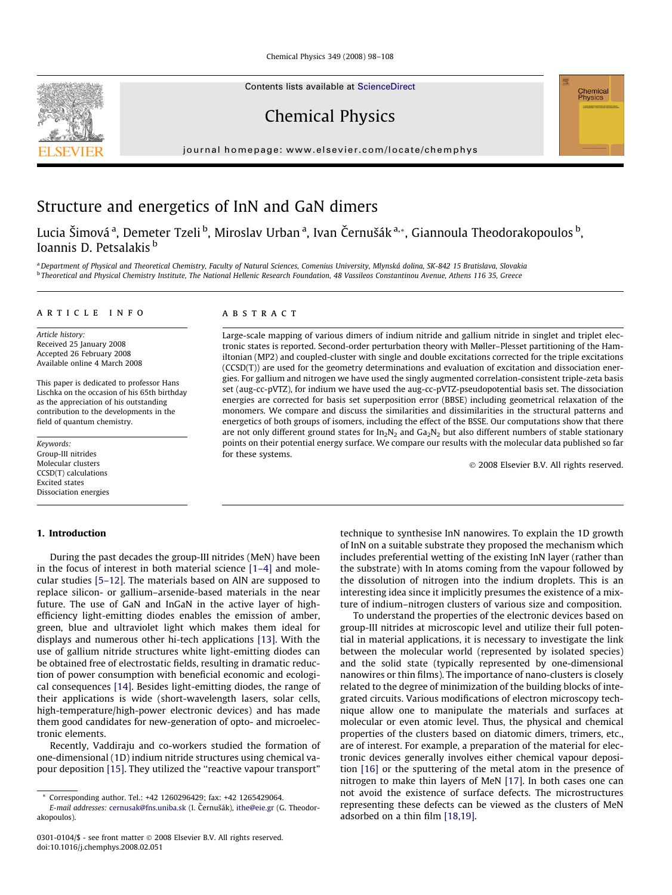Chemical Physics 349 (2008) 98–108

Contents lists available at [ScienceDirect](http://www.sciencedirect.com/science/journal/03088146)

Chemical Physics

journal homepage: www.elsevier.com/locate/chemphys

# Structure and energetics of InN and GaN dimers

Lucia Šimováª, Demeter Tzeli <sup>b</sup>, Miroslav Urban ª, Ivan Černušák ª<sub>\*</sub>, Giannoula Theodorakopoulos <sup>b</sup>, Ioannis D. Petsalakis <sup>b</sup>

a Department of Physical and Theoretical Chemistry, Faculty of Natural Sciences, Comenius University, Mlynská dolina, SK-842 15 Bratislava, Slovakia <sup>b</sup> Theoretical and Physical Chemistry Institute, The National Hellenic Research Foundation, 48 Vassileos Constantinou Avenue, Athens 116 35, Greece

### article info

Article history: Received 25 January 2008 Accepted 26 February 2008 Available online 4 March 2008

This paper is dedicated to professor Hans Lischka on the occasion of his 65th birthday as the appreciation of his outstanding contribution to the developments in the field of quantum chemistry.

Keywords: Group-III nitrides Molecular clusters CCSD(T) calculations Excited states Dissociation energies

# 1. Introduction

During the past decades the group-III nitrides (MeN) have been in the focus of interest in both material science [\[1–4\]](#page-9-0) and molecular studies [\[5–12\]](#page-10-0). The materials based on AlN are supposed to replace silicon- or gallium–arsenide-based materials in the near future. The use of GaN and InGaN in the active layer of highefficiency light-emitting diodes enables the emission of amber, green, blue and ultraviolet light which makes them ideal for displays and numerous other hi-tech applications [\[13\].](#page-10-0) With the use of gallium nitride structures white light-emitting diodes can be obtained free of electrostatic fields, resulting in dramatic reduction of power consumption with beneficial economic and ecological consequences [\[14\].](#page-10-0) Besides light-emitting diodes, the range of their applications is wide (short-wavelength lasers, solar cells, high-temperature/high-power electronic devices) and has made them good candidates for new-generation of opto- and microelectronic elements.

Recently, Vaddiraju and co-workers studied the formation of one-dimensional (1D) indium nitride structures using chemical vapour deposition [\[15\]](#page-10-0). They utilized the ''reactive vapour transport"

# ABSTRACT

Large-scale mapping of various dimers of indium nitride and gallium nitride in singlet and triplet electronic states is reported. Second-order perturbation theory with Møller–Plesset partitioning of the Hamiltonian (MP2) and coupled-cluster with single and double excitations corrected for the triple excitations (CCSD(T)) are used for the geometry determinations and evaluation of excitation and dissociation energies. For gallium and nitrogen we have used the singly augmented correlation-consistent triple-zeta basis set (aug-cc-pVTZ), for indium we have used the aug-cc-pVTZ-pseudopotential basis set. The dissociation energies are corrected for basis set superposition error (BBSE) including geometrical relaxation of the monomers. We compare and discuss the similarities and dissimilarities in the structural patterns and energetics of both groups of isomers, including the effect of the BSSE. Our computations show that there are not only different ground states for  $In_2N_2$  and  $Ga_2N_2$  but also different numbers of stable stationary points on their potential energy surface. We compare our results with the molecular data published so far for these systems.

- 2008 Elsevier B.V. All rights reserved.

technique to synthesise InN nanowires. To explain the 1D growth of InN on a suitable substrate they proposed the mechanism which includes preferential wetting of the existing InN layer (rather than the substrate) with In atoms coming from the vapour followed by the dissolution of nitrogen into the indium droplets. This is an interesting idea since it implicitly presumes the existence of a mixture of indium–nitrogen clusters of various size and composition.

To understand the properties of the electronic devices based on group-III nitrides at microscopic level and utilize their full potential in material applications, it is necessary to investigate the link between the molecular world (represented by isolated species) and the solid state (typically represented by one-dimensional nanowires or thin films). The importance of nano-clusters is closely related to the degree of minimization of the building blocks of integrated circuits. Various modifications of electron microscopy technique allow one to manipulate the materials and surfaces at molecular or even atomic level. Thus, the physical and chemical properties of the clusters based on diatomic dimers, trimers, etc., are of interest. For example, a preparation of the material for electronic devices generally involves either chemical vapour deposition [\[16\]](#page-10-0) or the sputtering of the metal atom in the presence of nitrogen to make thin layers of MeN [\[17\]](#page-10-0). In both cases one can not avoid the existence of surface defects. The microstructures representing these defects can be viewed as the clusters of MeN adsorbed on a thin film [\[18,19\].](#page-10-0)





<sup>\*</sup> Corresponding author. Tel.: +42 1260296429; fax: +42 1265429064.

E-mail addresses: [cernusak@fns.uniba.sk](mailto:cernusak@fns.uniba.sk) (I. Černušák), [ithe@eie.gr](mailto:ithe@eie.gr) (G. Theodorakopoulos).

<sup>0301-0104/\$ -</sup> see front matter © 2008 Elsevier B.V. All rights reserved. doi:10.1016/j.chemphys.2008.02.051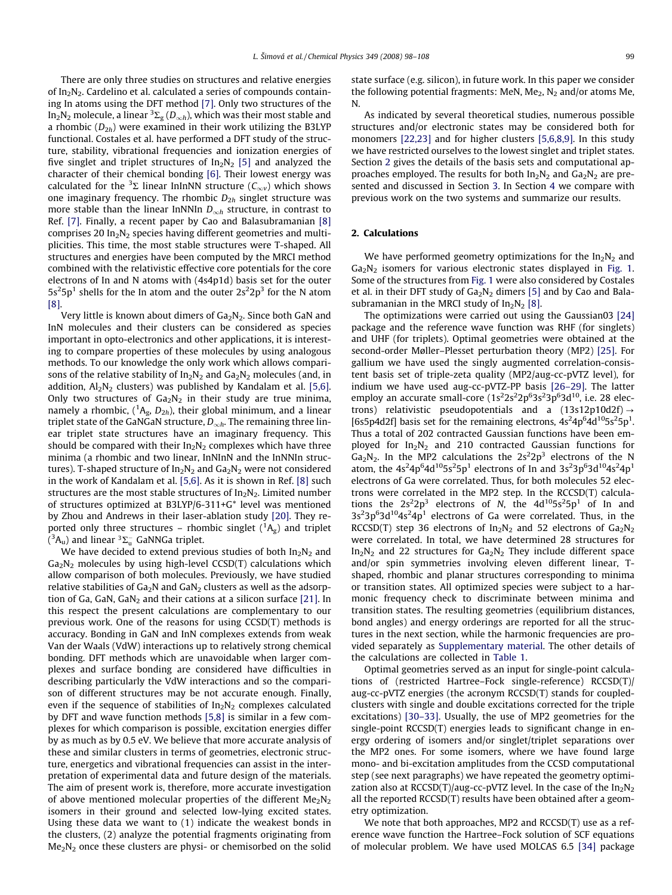There are only three studies on structures and relative energies of In<sub>2</sub>N<sub>2</sub>. Cardelino et al. calculated a series of compounds containing In atoms using the DFT method [\[7\]](#page-10-0). Only two structures of the In $_2$ N $_2$  molecule, a linear  $^3\Sigma_{\rm g}$  ( $D_{\infty h}$ ), which was their most stable and a rhombic  $(D_{2h})$  were examined in their work utilizing the B3LYP functional. Costales et al. have performed a DFT study of the structure, stability, vibrational frequencies and ionization energies of five singlet and triplet structures of  $In_2N_2$  [\[5\]](#page-10-0) and analyzed the character of their chemical bonding [\[6\]](#page-10-0). Their lowest energy was calculated for the <sup>3</sup> $\Sigma$  linear InInNN structure ( $C_{\infty v}$ ) which shows one imaginary frequency. The rhombic  $D_{2h}$  singlet structure was more stable than the linear InNNIn  $D_{\infty h}$  structure, in contrast to Ref. [\[7\].](#page-10-0) Finally, a recent paper by Cao and Balasubramanian [\[8\]](#page-10-0) comprises 20  $In<sub>2</sub>N<sub>2</sub>$  species having different geometries and multiplicities. This time, the most stable structures were T-shaped. All structures and energies have been computed by the MRCI method combined with the relativistic effective core potentials for the core electrons of In and N atoms with (4s4p1d) basis set for the outer  $5s<sup>2</sup>5p<sup>1</sup>$  shells for the In atom and the outer  $2s<sup>2</sup>2p<sup>3</sup>$  for the N atom [\[8\]](#page-10-0).

Very little is known about dimers of  $Ga_2N_2$ . Since both GaN and InN molecules and their clusters can be considered as species important in opto-electronics and other applications, it is interesting to compare properties of these molecules by using analogous methods. To our knowledge the only work which allows comparisons of the relative stability of  $In_2N_2$  and  $Ga_2N_2$  molecules (and, in addition,  $Al_2N_2$  clusters) was published by Kandalam et al. [\[5,6\].](#page-10-0) Only two structures of  $Ga<sub>2</sub>N<sub>2</sub>$  in their study are true minima, namely a rhombic, ( ${}^{1}A_{g}$ ,  $D_{2h}$ ), their global minimum, and a linear triplet state of the GaNGaN structure,  $D_{\infty h}$ . The remaining three linear triplet state structures have an imaginary frequency. This should be compared with their  $In<sub>2</sub>N<sub>2</sub>$  complexes which have three minima (a rhombic and two linear, InNInN and the InNNIn structures). T-shaped structure of  $In_2N_2$  and  $Ga_2N_2$  were not considered in the work of Kandalam et al. [\[5,6\].](#page-10-0) As it is shown in Ref. [\[8\]](#page-10-0) such structures are the most stable structures of  $In<sub>2</sub>N<sub>2</sub>$ . Limited number of structures optimized at B3LYP/6-311+G\* level was mentioned by Zhou and Andrews in their laser-ablation study [\[20\]](#page-10-0). They reported only three structures – rhombic singlet  $({}^{1}A_{g})$  and triplet  $({}^3\text{A}_\text{u})$  and linear  $^3\Sigma_\text{u}^-$  GaNNGa triplet.

We have decided to extend previous studies of both  $In_2N_2$  and  $Ga<sub>2</sub>N<sub>2</sub>$  molecules by using high-level CCSD(T) calculations which allow comparison of both molecules. Previously, we have studied relative stabilities of  $Ga<sub>2</sub>N$  and  $GaN<sub>2</sub>$  clusters as well as the adsorp-tion of Ga, GaN, GaN<sub>2</sub> and their cations at a silicon surface [\[21\].](#page-10-0) In this respect the present calculations are complementary to our previous work. One of the reasons for using CCSD(T) methods is accuracy. Bonding in GaN and InN complexes extends from weak Van der Waals (VdW) interactions up to relatively strong chemical bonding. DFT methods which are unavoidable when larger complexes and surface bonding are considered have difficulties in describing particularly the VdW interactions and so the comparison of different structures may be not accurate enough. Finally, even if the sequence of stabilities of  $In_2N_2$  complexes calculated by DFT and wave function methods [\[5,8\]](#page-10-0) is similar in a few complexes for which comparison is possible, excitation energies differ by as much as by 0.5 eV. We believe that more accurate analysis of these and similar clusters in terms of geometries, electronic structure, energetics and vibrational frequencies can assist in the interpretation of experimental data and future design of the materials. The aim of present work is, therefore, more accurate investigation of above mentioned molecular properties of the different  $Me<sub>2</sub>N<sub>2</sub>$ isomers in their ground and selected low-lying excited states. Using these data we want to (1) indicate the weakest bonds in the clusters, (2) analyze the potential fragments originating from  $Me<sub>2</sub>N<sub>2</sub>$  once these clusters are physi- or chemisorbed on the solid state surface (e.g. silicon), in future work. In this paper we consider the following potential fragments: MeN,  $Me<sub>2</sub>$ , N<sub>2</sub> and/or atoms Me, N.

As indicated by several theoretical studies, numerous possible structures and/or electronic states may be considered both for monomers [\[22,23\]](#page-10-0) and for higher clusters [\[5,6,8,9\].](#page-10-0) In this study we have restricted ourselves to the lowest singlet and triplet states. Section 2 gives the details of the basis sets and computational approaches employed. The results for both  $In_2N_2$  and  $Ga_2N_2$  are presented and discussed in Section 3. In Section 4 we compare with previous work on the two systems and summarize our results.

# 2. Calculations

We have performed geometry optimizations for the  $In_2N_2$  and  $Ga<sub>2</sub>N<sub>2</sub>$  isomers for various electronic states displayed in [Fig. 1.](#page-2-0) Some of the structures from [Fig. 1](#page-2-0) were also considered by Costales et al. in their DFT study of  $Ga_2N_2$  dimers [\[5\]](#page-10-0) and by Cao and Balasubramanian in the MRCI study of  $In<sub>2</sub>N<sub>2</sub>$  [\[8\].](#page-10-0)

The optimizations were carried out using the Gaussian03 [\[24\]](#page-10-0) package and the reference wave function was RHF (for singlets) and UHF (for triplets). Optimal geometries were obtained at the second-order Møller–Plesset perturbation theory (MP2) [\[25\]](#page-10-0). For gallium we have used the singly augmented correlation-consistent basis set of triple-zeta quality (MP2/aug-cc-pVTZ level), for indium we have used aug-cc-pVTZ-PP basis [\[26–29\]](#page-10-0). The latter employ an accurate small-core  $(1s^22s^22p^63s^23p^63d^{10}$ , i.e. 28 electrons) relativistic pseudopotentials and a  $(13s12p10d2f) \rightarrow$ [6s5p4d2f] basis set for the remaining electrons,  $4s^24p^64d^{10}5s^25p^1$ . Thus a total of 202 contracted Gaussian functions have been employed for  $In_2N_2$  and 210 contracted Gaussian functions for  $Ga_2N_2$ . In the MP2 calculations the  $2s^22p^3$  electrons of the N atom, the  $4s^24p^64d^{10}5s^25p^1$  electrons of In and  $3s^23p^63d^{10}4s^24p^1$ electrons of Ga were correlated. Thus, for both molecules 52 electrons were correlated in the MP2 step. In the RCCSD(T) calculations the  $2s^22p^3$  electrons of N, the  $4d^{10}5s^25p^1$  of In and  $3s<sup>2</sup>3p<sup>6</sup>3d<sup>10</sup>4s<sup>2</sup>4p<sup>1</sup>$  electrons of Ga were correlated. Thus, in the RCCSD(T) step 36 electrons of  $In_2N_2$  and 52 electrons of  $Ga_2N_2$ were correlated. In total, we have determined 28 structures for  $In_2N_2$  and 22 structures for  $Ga_2N_2$  They include different space and/or spin symmetries involving eleven different linear, Tshaped, rhombic and planar structures corresponding to minima or transition states. All optimized species were subject to a harmonic frequency check to discriminate between minima and transition states. The resulting geometries (equilibrium distances, bond angles) and energy orderings are reported for all the structures in the next section, while the harmonic frequencies are provided separately as Supplementary material. The other details of the calculations are collected in [Table 1.](#page-2-0)

Optimal geometries served as an input for single-point calculations of (restricted Hartree–Fock single-reference) RCCSD(T)/ aug-cc-pVTZ energies (the acronym RCCSD(T) stands for coupledclusters with single and double excitations corrected for the triple excitations) [\[30–33\].](#page-10-0) Usually, the use of MP2 geometries for the single-point RCCSD(T) energies leads to significant change in energy ordering of isomers and/or singlet/triplet separations over the MP2 ones. For some isomers, where we have found large mono- and bi-excitation amplitudes from the CCSD computational step (see next paragraphs) we have repeated the geometry optimization also at RCCSD(T)/aug-cc-pVTZ level. In the case of the  $In_2N_2$ all the reported RCCSD(T) results have been obtained after a geometry optimization.

We note that both approaches, MP2 and RCCSD(T) use as a reference wave function the Hartree–Fock solution of SCF equations of molecular problem. We have used MOLCAS 6.5 [\[34\]](#page-10-0) package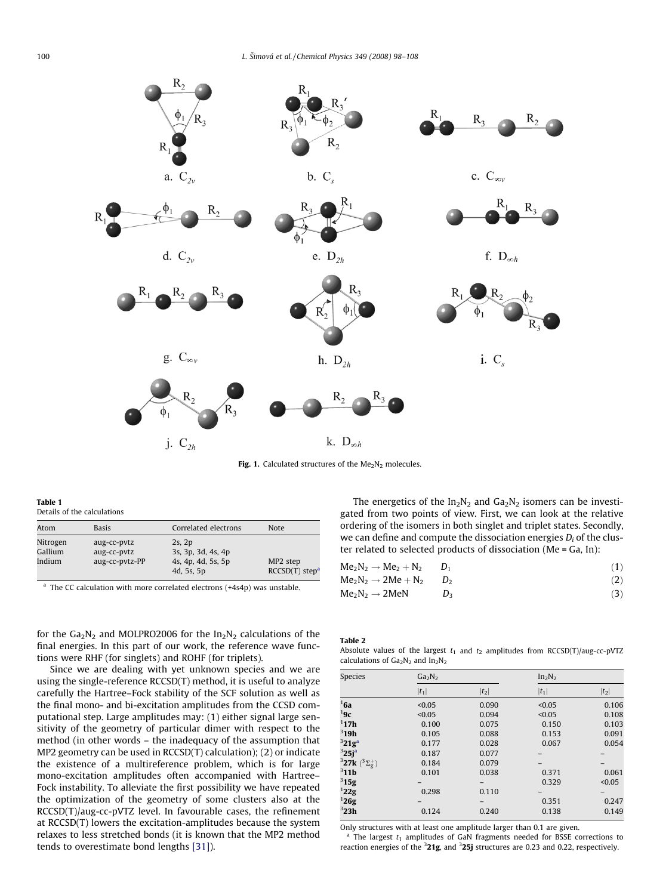<span id="page-2-0"></span>

Fig. 1. Calculated structures of the  $Me<sub>2</sub>N<sub>2</sub>$  molecules.

Table 1 Details of the calculations

| Atom                          | <b>Basis</b>                                 | Correlated electrons                                                  | <b>Note</b>                                          |
|-------------------------------|----------------------------------------------|-----------------------------------------------------------------------|------------------------------------------------------|
| Nitrogen<br>Gallium<br>Indium | aug-cc-pvtz<br>aug-cc-pvtz<br>aug-cc-pvtz-PP | $2s$ , $2p$<br>3s, 3p, 3d, 4s, 4p<br>4s, 4p, 4d, 5s, 5p<br>4d, 5s, 5p | MP <sub>2</sub> step<br>$RCCSD(T)$ step <sup>a</sup> |

 $a$  The CC calculation with more correlated electrons  $(+4s4p)$  was unstable.

for the  $Ga_2N_2$  and MOLPRO2006 for the  $In_2N_2$  calculations of the final energies. In this part of our work, the reference wave functions were RHF (for singlets) and ROHF (for triplets).

Since we are dealing with yet unknown species and we are using the single-reference RCCSD(T) method, it is useful to analyze carefully the Hartree–Fock stability of the SCF solution as well as the final mono- and bi-excitation amplitudes from the CCSD computational step. Large amplitudes may: (1) either signal large sensitivity of the geometry of particular dimer with respect to the method (in other words – the inadequacy of the assumption that MP2 geometry can be used in RCCSD(T) calculation); (2) or indicate the existence of a multireference problem, which is for large mono-excitation amplitudes often accompanied with Hartree– Fock instability. To alleviate the first possibility we have repeated the optimization of the geometry of some clusters also at the RCCSD(T)/aug-cc-pVTZ level. In favourable cases, the refinement at RCCSD(T) lowers the excitation-amplitudes because the system relaxes to less stretched bonds (it is known that the MP2 method tends to overestimate bond lengths [\[31\]\)](#page-10-0).

The energetics of the  $In_2N_2$  and  $Ga_2N_2$  isomers can be investigated from two points of view. First, we can look at the relative ordering of the isomers in both singlet and triplet states. Secondly, we can define and compute the dissociation energies  $D_i$  of the cluster related to selected products of dissociation (Me = Ga, In):

| $Me2N2 \rightarrow Me2 + N2$    |       | (1) |
|---------------------------------|-------|-----|
| $Me_2N_2 \rightarrow 2Me + N_2$ | $D_2$ | (2) |
| $Me_2N_2 \rightarrow 2MeN$      | $D_2$ |     |

Table 2

Absolute values of the largest  $t_1$  and  $t_2$  amplitudes from RCCSD(T)/aug-cc-pVTZ calculations of  $Ga<sub>2</sub>N<sub>2</sub>$  and  $In<sub>2</sub>N<sub>2</sub>$ 

| Species                            | Ga <sub>2</sub> N <sub>2</sub> |         | In <sub>2</sub> N <sub>2</sub> |         |  |  |
|------------------------------------|--------------------------------|---------|--------------------------------|---------|--|--|
|                                    | $ t_1 $                        | $ t_2 $ | $ t_1 $                        | $ t_2 $ |  |  |
| 16a                                | < 0.05                         | 0.090   | < 0.05                         | 0.106   |  |  |
| 19c                                | < 0.05                         | 0.094   | < 0.05                         | 0.108   |  |  |
| 117h                               | 0.100                          | 0.075   | 0.150                          | 0.103   |  |  |
| $3$ 19h                            | 0.105                          | 0.088   | 0.153                          | 0.091   |  |  |
| 321g <sup>a</sup>                  | 0.177                          | 0.028   | 0.067                          | 0.054   |  |  |
| $325j^a$                           | 0.187                          | 0.077   |                                |         |  |  |
| ${}^{3}27k~({}^{3}\Sigma^{+}_{g})$ | 0.184                          | 0.079   |                                |         |  |  |
| $3$ 11b                            | 0.101                          | 0.038   | 0.371                          | 0.061   |  |  |
| 315g                               |                                |         | 0.329                          | < 0.05  |  |  |
| 122g                               | 0.298                          | 0.110   |                                |         |  |  |
| 126g                               |                                | -       | 0.351                          | 0.247   |  |  |
| $^3$ 23h                           | 0.124                          | 0.240   | 0.138                          | 0.149   |  |  |

Only structures with at least one amplitude larger than 0.1 are given.

 $a$  The largest  $t_1$  amplitudes of GaN fragments needed for BSSE corrections to reaction energies of the  $321g$ , and  $325j$  structures are 0.23 and 0.22, respectively.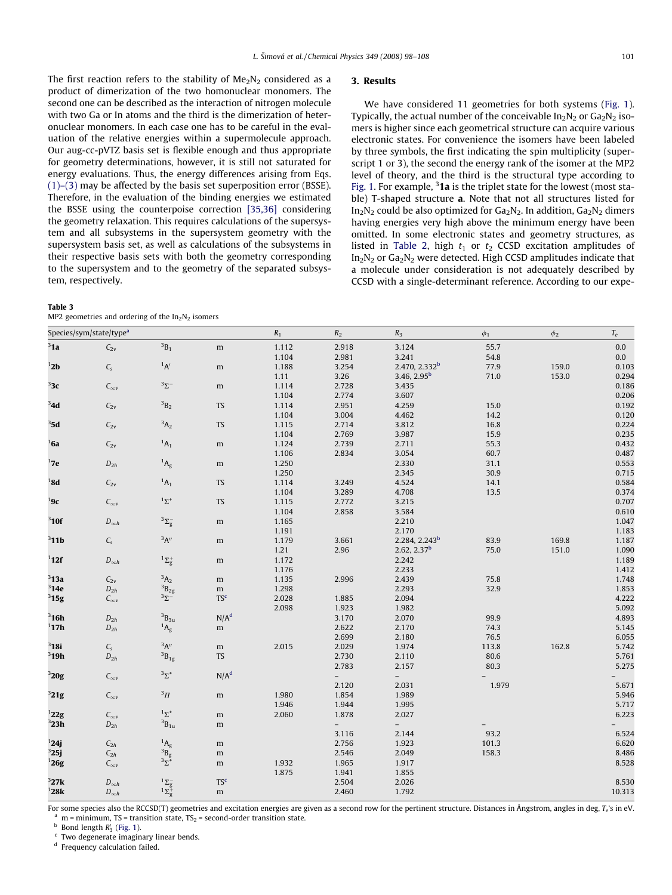<span id="page-3-0"></span>The first reaction refers to the stability of  $Me<sub>2</sub>N<sub>2</sub>$  considered as a product of dimerization of the two homonuclear monomers. The second one can be described as the interaction of nitrogen molecule with two Ga or In atoms and the third is the dimerization of heteronuclear monomers. In each case one has to be careful in the evaluation of the relative energies within a supermolecule approach. Our aug-cc-pVTZ basis set is flexible enough and thus appropriate for geometry determinations, however, it is still not saturated for energy evaluations. Thus, the energy differences arising from Eqs. [\(1\)–\(3\)](#page-2-0) may be affected by the basis set superposition error (BSSE). Therefore, in the evaluation of the binding energies we estimated the BSSE using the counterpoise correction [\[35,36\]](#page-10-0) considering the geometry relaxation. This requires calculations of the supersystem and all subsystems in the supersystem geometry with the supersystem basis set, as well as calculations of the subsystems in their respective basis sets with both the geometry corresponding to the supersystem and to the geometry of the separated subsystem, respectively.

|--|

|  | MP2 geometries and ordering of the $In2N2$ isomers |  |  |  |  |  |
|--|----------------------------------------------------|--|--|--|--|--|
|--|----------------------------------------------------|--|--|--|--|--|

# 3. Results

We have considered 11 geometries for both systems [\(Fig. 1\)](#page-2-0). Typically, the actual number of the conceivable  $In_2N_2$  or  $Ga_2N_2$  isomers is higher since each geometrical structure can acquire various electronic states. For convenience the isomers have been labeled by three symbols, the first indicating the spin multiplicity (superscript 1 or 3), the second the energy rank of the isomer at the MP2 level of theory, and the third is the structural type according to [Fig. 1](#page-2-0). For example, <sup>3</sup>1a is the triplet state for the lowest (most stable) T-shaped structure a. Note that not all structures listed for  $In<sub>2</sub>N<sub>2</sub>$  could be also optimized for  $Ga<sub>2</sub>N<sub>2</sub>$ . In addition,  $Ga<sub>2</sub>N<sub>2</sub>$  dimers having energies very high above the minimum energy have been omitted. In some electronic states and geometry structures, as listed in [Table 2,](#page-2-0) high  $t_1$  or  $t_2$  CCSD excitation amplitudes of  $In<sub>2</sub>N<sub>2</sub>$  or  $Ga<sub>2</sub>N<sub>2</sub>$  were detected. High CCSD amplitudes indicate that a molecule under consideration is not adequately described by CCSD with a single-determinant reference. According to our expe-

| Species/sym/state/type <sup>a</sup> |                    |                                                              | $\boldsymbol{R}_1$ | $\ensuremath{R_\mathrm{2}}$ | $R_3$                    | $\phi_1$                  | $\phi_2$ | $T_e\,$ |         |
|-------------------------------------|--------------------|--------------------------------------------------------------|--------------------|-----------------------------|--------------------------|---------------------------|----------|---------|---------|
| 31a                                 | $C_{2v}$           | $^3\mbox{B}_1$                                               | m                  | 1.112                       | 2.918                    | 3.124                     | 55.7     |         | $0.0\,$ |
|                                     |                    |                                                              |                    | 1.104                       | 2.981                    | 3.241                     | 54.8     |         | $0.0\,$ |
| 12b                                 | $C_{\rm s}$        | $^1\!A'$                                                     | m                  | 1.188                       | 3.254                    | 2.470, 2.332 <sup>b</sup> | 77.9     | 159.0   | 0.103   |
|                                     |                    |                                                              |                    | 1.11                        | 3.26                     | 3.46, $2.95^b$            | 71.0     | 153.0   | 0.294   |
| 33c                                 | $C_{\infty v}$     | $^3\Sigma^-$                                                 | m                  | 1.114                       | 2.728                    | 3.435                     |          |         | 0.186   |
|                                     |                    |                                                              |                    | 1.104                       | 2.774                    | 3.607                     |          |         | 0.206   |
| 34d                                 | $C_{2v}$           | $^3\mbox{B}_2$                                               | TS                 | 1.114                       | 2.951                    | 4.259                     | 15.0     |         | 0.192   |
|                                     |                    |                                                              |                    | 1.104                       | 3.004                    | 4.462                     | 14.2     |         | 0.120   |
| 35d                                 | $C_{2v}$           | $A_2$                                                        | <b>TS</b>          | 1.115                       | 2.714                    | 3.812                     | 16.8     |         | 0.224   |
|                                     |                    |                                                              |                    | 1.104                       | 2.769                    | 3.987                     | 15.9     |         | 0.235   |
| 16a                                 | $C_{2v}$           | $A_1$                                                        | m                  | 1.124                       | 2.739                    | 2.711                     | 55.3     |         | 0.432   |
|                                     |                    |                                                              |                    | 1.106                       | 2.834                    | 3.054                     | 60.7     |         | 0.487   |
| 17e                                 | ${\cal D}_{2h}$    | ${}^{1}A_{g}$                                                | m                  | 1.250                       |                          | 2.330                     | 31.1     |         | 0.553   |
|                                     |                    |                                                              |                    | 1.250                       |                          | 2.345                     | 30.9     |         | 0.715   |
| 18d                                 | $C_{2\nu}$         | ${}^1A_1$                                                    | <b>TS</b>          | 1.114                       | 3.249                    | 4.524                     | 14.1     |         | 0.584   |
|                                     |                    |                                                              |                    | 1.104                       | 3.289                    | 4.708                     | 13.5     |         | 0.374   |
| 19c                                 | $C_{\infty v}$     | $1\Sigma^+$                                                  | <b>TS</b>          | 1.115                       | 2.772                    | 3.215                     |          |         | 0.707   |
|                                     |                    |                                                              |                    | 1.104                       | 2.858                    | 3.584                     |          |         | 0.610   |
| $3$ 10f                             | $D_{\infty h}$     | $^3\Sigma_g^-$                                               | m                  | 1.165                       |                          | 2.210                     |          |         | 1.047   |
|                                     |                    |                                                              |                    | 1.191                       |                          | 2.170                     |          |         | 1.183   |
| $3$ 11b                             | $C_{s}$            | $^3A^{\prime\prime}$                                         | m                  | 1.179                       | 3.661                    | 2.284, 2.243 <sup>b</sup> | 83.9     | 169.8   | 1.187   |
|                                     |                    |                                                              |                    | 1.21                        | 2.96                     | 2.62, 2.37 <sup>b</sup>   | 75.0     | 151.0   | 1.090   |
| $1$ 12f                             | $D_{\infty h}$     | $^1\Sigma_g^+$                                               | m                  | 1.172                       |                          | 2.242                     |          |         | 1.189   |
|                                     |                    |                                                              |                    | 1.176                       |                          | 2.233                     |          |         | 1.412   |
| $3$ 13a                             | $C_{2v}$           | $^3\mathrm{A}_2$                                             | m                  | 1.135                       | 2.996                    | 2.439                     | 75.8     |         | 1.748   |
| $3$ 14e                             | $D_{2h}$           | $^3\mbox{B}_{\rm 2g}$                                        | m                  | 1.298                       |                          | 2.293                     | 32.9     |         | 1.853   |
| 315g                                | $C_{\infty v}$     | $3\Sigma^-$                                                  | TS <sup>c</sup>    | 2.028                       | 1.885                    | 2.094                     |          |         | 4.222   |
|                                     |                    |                                                              |                    | 2.098                       | 1.923                    | 1.982                     |          |         | 5.092   |
| $3$ 16h                             | ${\cal D}_{2h}$    | $^3\mbox{B}_{3\mbox{\scriptsize u}}$                         | N/A <sup>d</sup>   |                             | 3.170                    | 2.070                     | 99.9     |         | 4.893   |
| 117h                                | $D_{2h}$           | $^{1}A_{g}$                                                  | m                  |                             | 2.622                    | 2.170                     | 74.3     |         | 5.145   |
|                                     |                    |                                                              |                    |                             | 2.699                    | 2.180                     | 76.5     |         | 6.055   |
| $3$ 18i                             | $C_{s}$            | $^3\mathrm{A}^{\prime\prime}$                                | ${\rm m}$          | 2.015                       | 2.029                    | 1.974                     | 113.8    | 162.8   | 5.742   |
| $3$ 19h                             | $D_{2h}$           | ${}^3B_{1g}$                                                 | <b>TS</b>          |                             | 2.730                    | 2.110                     | 80.6     |         | 5.761   |
|                                     |                    |                                                              |                    |                             | 2.783                    | 2.157                     | 80.3     |         | 5.275   |
| 320g                                | $C_{\infty\nu}$    | $3\Sigma^+$                                                  | N/A <sup>d</sup>   |                             |                          | $\overline{a}$            |          |         |         |
|                                     |                    |                                                              |                    |                             | 2.120                    | 2.031                     | 1.979    |         | 5.671   |
| 321g                                | $C_{\infty\nu}$    | $^3\Pi$                                                      | m                  | 1.980                       | 1.854                    | 1.989                     |          |         | 5.946   |
|                                     |                    |                                                              |                    | 1.946                       | 1.944                    | 1.995                     |          |         | 5.717   |
| $^1 22 \mathrm{g}$                  | $C_{\infty v}$     | $1\Sigma^+$                                                  | m                  | 2.060                       | 1.878                    | 2.027                     |          |         | 6.223   |
| $3$ 23h                             | $D_{2h}$           | $^3\mbox{B}_{1\mbox{u}}$                                     | m                  |                             | $\overline{\phantom{0}}$ | $\overline{\phantom{0}}$  |          |         |         |
|                                     |                    |                                                              |                    |                             | 3.116                    | 2.144                     | 93.2     |         | 6.524   |
| 124j                                | $\mathcal{C}_{2h}$ | ${}^{1}A_{g}$                                                | m                  |                             | 2.756                    | 1.923                     | 101.3    |         | 6.620   |
| 325j                                | $C_{2h}$           | $\begin{array}{c}\n^{3}B_{g} \\ ^{3}\Sigma^{+}\n\end{array}$ | $\mathbf m$        |                             | 2.546                    | 2.049                     | 158.3    |         | 8.486   |
| 126g                                | $C_{\infty v}$     |                                                              | m                  | 1.932                       | 1.965                    | 1.917                     |          |         | 8.528   |
|                                     |                    |                                                              |                    | 1.875                       | 1.941                    | 1.855                     |          |         |         |
| 327k                                | $D_{\infty h}$     | $^1\Sigma_g^-$<br>$^1\Sigma_g^+$                             | TS <sup>c</sup>    |                             | 2.504                    | 2.026                     |          |         | 8.530   |
| 128k                                | $D_{\infty h}$     |                                                              | m                  |                             | 2.460                    | 1.792                     |          |         | 10.313  |

For some species also the RCCSD(T) geometries and excitation energies are given as a second row for the pertinent structure. Distances in Ångstrom, angles in deg,  $T_e$ 's in eV.<br><sup>a</sup> m = minimum, TS = transition state, TS<sub>2</sub>

 $\epsilon$  Two degenerate imaginary linear bends.

<sup>d</sup> Frequency calculation failed.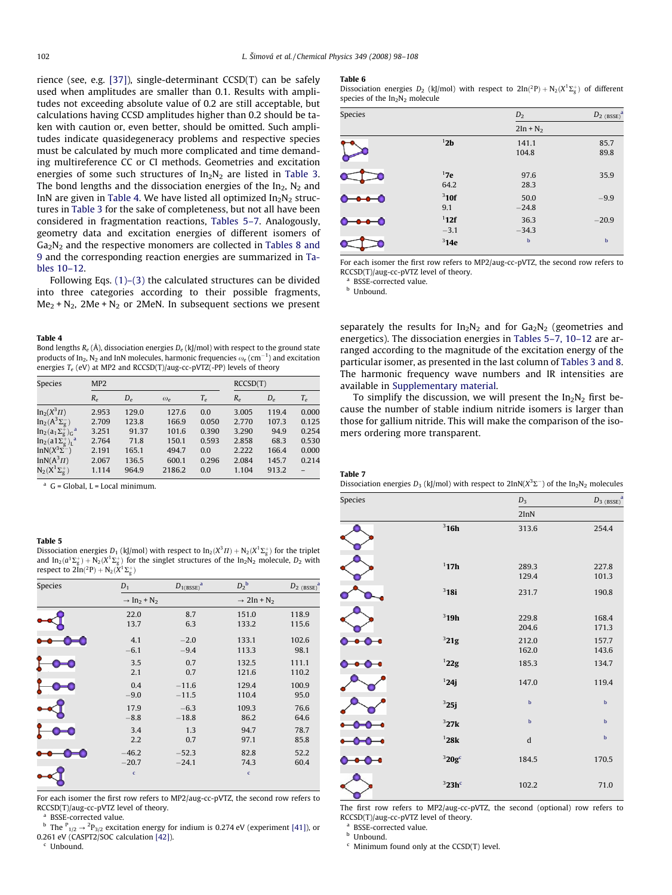<span id="page-4-0"></span>rience (see, e.g. [\[37\]\)](#page-10-0), single-determinant CCSD(T) can be safely used when amplitudes are smaller than 0.1. Results with amplitudes not exceeding absolute value of 0.2 are still acceptable, but calculations having CCSD amplitudes higher than 0.2 should be taken with caution or, even better, should be omitted. Such amplitudes indicate quasidegeneracy problems and respective species must be calculated by much more complicated and time demanding multireference CC or CI methods. Geometries and excitation energies of some such structures of  $In_2N_2$  are listed in [Table 3.](#page-3-0) The bond lengths and the dissociation energies of the  $In_2$ ,  $N_2$  and InN are given in Table 4. We have listed all optimized  $In<sub>2</sub>N<sub>2</sub>$  structures in [Table 3](#page-3-0) for the sake of completeness, but not all have been considered in fragmentation reactions, Tables 5–7. Analogously, geometry data and excitation energies of different isomers of  $Ga<sub>2</sub>N<sub>2</sub>$  and the respective monomers are collected in [Tables 8 and](#page-5-0) [9](#page-5-0) and the corresponding reaction energies are summarized in [Ta](#page-5-0)[bles 10–12](#page-5-0).

Following Eqs. [\(1\)–\(3\)](#page-2-0) the calculated structures can be divided into three categories according to their possible fragments,  $Me<sub>2</sub> + N<sub>2</sub>$ , 2Me + N<sub>2</sub> or 2MeN. In subsequent sections we present

#### Table 4

Bond lengths  $R_e$  (Å), dissociation energies  $D_e$  (kJ/mol) with respect to the ground state products of In $_2$ , N $_2$  and InN molecules, harmonic frequencies  $\omega_e$  (cm $^{-1}$ ) and excitation energies  $T_e$  (eV) at MP2 and RCCSD(T)/aug-cc-pVTZ(-PP) levels of theory

| <b>Species</b>                              | MP <sub>2</sub> |            |                 |       |            | RCCSD(T)   |       |  |
|---------------------------------------------|-----------------|------------|-----------------|-------|------------|------------|-------|--|
|                                             | $R_{\rho}$      | $D_{\rho}$ | $\omega_{\rho}$ | $T_e$ | $R_{\rho}$ | $D_{\rho}$ | $T_e$ |  |
| $In_2(X^3\Pi)$                              | 2.953           | 129.0      | 127.6           | 0.0   | 3.005      | 119.4      | 0.000 |  |
| $In_2(A^3\Sigma_\sigma^-)$                  | 2.709           | 123.8      | 166.9           | 0.050 | 2.770      | 107.3      | 0.125 |  |
| $In_2(a_1\Sigma_g^{\text{+}})_G^{\text{a}}$ | 3.251           | 91.37      | 101.6           | 0.390 | 3.290      | 94.9       | 0.254 |  |
| $In_2(a1\Sigma_{\sigma}^+)$ <sup>a</sup>    | 2.764           | 71.8       | 150.1           | 0.593 | 2.858      | 68.3       | 0.530 |  |
| InN $(X^3\Sigma^-)$                         | 2.191           | 165.1      | 494.7           | 0.0   | 2.222      | 166.4      | 0.000 |  |
| InN( $A^3\Pi$ )                             | 2.067           | 136.5      | 600.1           | 0.296 | 2.084      | 145.7      | 0.214 |  |
| $N_2(X^1\Sigma^+_{\sigma})$                 | 1.114           | 964.9      | 2186.2          | 0.0   | 1.104      | 913.2      |       |  |

 $a$  G = Global, L = Local minimum.

### Table 5

Dissociation energies  $D_1$  (kJ/mol) with respect to In $_2(X^3I1) + \mathsf{N}_2(X^1\Sigma_\mathsf{g}^+)$  for the triplet and  $\ln_2(a^1\Sigma_g^+)+\mathrm{N}_2(X^1\Sigma_g^+)$  for the singlet structures of the  $\ln_2\mathrm{N}_2$  molecule,  $D_2$  with respect to  $2\text{In}(^2\text{P}) + \text{N}_2(X^1\Sigma_{\text{g}}^+)$ 

| Species | $D_1$                                          | $D_{1(BSSE)}^{\qquad a}$ | $D_2^{\ b}$                        | $D_{2}$ (BSSE) <sup>a</sup> |
|---------|------------------------------------------------|--------------------------|------------------------------------|-----------------------------|
|         | $\rightarrow$ In <sub>2</sub> + N <sub>2</sub> |                          | $\rightarrow$ 2In + N <sub>2</sub> |                             |
|         | 22.0                                           | 8.7                      | 151.0                              | 118.9                       |
|         | 13.7                                           | 6.3                      | 133.2                              | 115.6                       |
|         | 4.1                                            | $-2.0$                   | 133.1                              | 102.6                       |
|         | $-6.1$                                         | $-9.4$                   | 113.3                              | 98.1                        |
|         | 3.5                                            | 0.7                      | 132.5                              | 111.1                       |
|         | 2.1                                            | 0.7                      | 121.6                              | 110.2                       |
|         | 0.4                                            | $-11.6$                  | 129.4                              | 100.9                       |
|         | $-9.0$                                         | $-11.5$                  | 110.4                              | 95.0                        |
|         | 17.9                                           | $-6.3$                   | 109.3                              | 76.6                        |
|         | $-8.8$                                         | $-18.8$                  | 86.2                               | 64.6                        |
|         | 3.4                                            | 1.3                      | 94.7                               | 78.7                        |
|         | 2.2                                            | 0.7                      | 97.1                               | 85.8                        |
|         | $-46.2$                                        | $-52.3$                  | 82.8                               | 52.2                        |
|         | $-20.7$                                        | $-24.1$                  | 74.3                               | 60.4                        |
|         | $\epsilon$                                     |                          | $\mathbf c$                        |                             |
|         |                                                |                          |                                    |                             |

For each isomer the first row refers to MP2/aug-cc-pVTZ, the second row refers to RCCSD(T)/aug-cc-pVTZ level of theory.

BSSE-corrected value.

<sup>b</sup> The  $P_{1/2} \rightarrow 2P_{3/2}$  excitation energy for indium is 0.274 eV (experiment [\[41\]](#page-10-0)), or 0.261 eV (CASPT2/SOC calculation [\[42\]](#page-10-0)).

<sup>c</sup> Unbound.

#### Table 6

Dissociation energies  $D_2$  (kJ/mol) with respect to  $2\text{In}(^{2}P) + N_2(X^{1}\Sigma_{g}^{+})$  of different species of the  $In<sub>2</sub>N<sub>2</sub>$  molecule

| Species |                   | $D_2$           | $D_{2~(BSSE)}^{a}$ |
|---------|-------------------|-----------------|--------------------|
|         |                   | $2In + N2$      |                    |
|         | 12 <sub>b</sub>   | 141.1<br>104.8  | 85.7<br>89.8       |
|         | 17e<br>64.2       | 97.6<br>28.3    | 35.9               |
|         | $3$ 10f<br>9.1    | 50.0<br>$-24.8$ | $-9.9$             |
|         | $1$ 12f<br>$-3.1$ | 36.3<br>$-34.3$ | $-20.9$            |
|         | $3$ 14e           | $\mathbf b$     | $\mathbf b$        |

For each isomer the first row refers to MP2/aug-cc-pVTZ, the second row refers to RCCSD(T)/aug-cc-pVTZ level of theory.

BSSE-corrected value.

**b** Unbound.

separately the results for  $In_2N_2$  and for  $Ga_2N_2$  (geometries and energetics). The dissociation energies in Tables 5–7, 10–12 are arranged according to the magnitude of the excitation energy of the particular isomer, as presented in the last column of [Tables 3 and 8.](#page-3-0) The harmonic frequency wave numbers and IR intensities are available in Supplementary material.

To simplify the discussion, we will present the  $In_2N_2$  first because the number of stable indium nitride isomers is larger than those for gallium nitride. This will make the comparison of the isomers ordering more transparent.

#### Table 7

Dissociation energies  $D_3$  (kJ/mol) with respect to  $2\text{InN}(X^3\Sigma^-)$  of the In<sub>2</sub>N<sub>2</sub> molecules

| Species                                         |                  | $\mathbb{D}_3$ | $D_3$ (BSSE) <sup>2</sup> |
|-------------------------------------------------|------------------|----------------|---------------------------|
|                                                 |                  | 2InN           |                           |
|                                                 | 316h             | 313.6          | 254.4                     |
|                                                 | 117h             | 289.3<br>129.4 | 227.8<br>101.3            |
|                                                 | $3$ 18i          | 231.7          | 190.8                     |
|                                                 | $3$ 19h          | 229.8<br>204.6 | 168.4<br>171.3            |
|                                                 | 321g             | 212.0<br>162.0 | 157.7<br>143.6            |
|                                                 | $^122\mathrm{g}$ | 185.3          | 134.7                     |
|                                                 | 124j             | 147.0          | 119.4                     |
|                                                 | 325j             | $\mathbf b$    | $\mathbf b$               |
|                                                 | 327k             | $\mathbf b$    | $\mathbf b$               |
|                                                 | 128k             | d              | $\mathbf b$               |
| $\bullet\hspace{-4.5pt}-\hspace{-4.5pt}\bullet$ | $320g^c$         | 184.5          | 170.5                     |
|                                                 | $323h$ c         | 102.2          | 71.0                      |

The first row refers to MP2/aug-cc-pVTZ, the second (optional) row refers to RCCSD(T)/aug-cc-pVTZ level of theory.

BSSE-corrected value.

**b** Unbound.

 $c$  Minimum found only at the CCSD(T) level.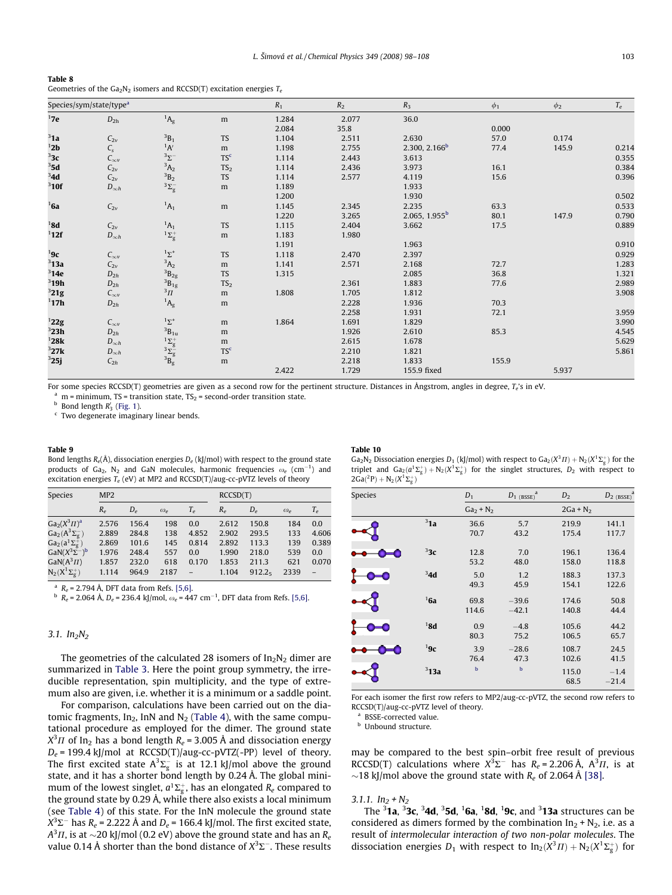<span id="page-5-0"></span>

| Table 8                                                                    |
|----------------------------------------------------------------------------|
| Geometries of the $Ga_2N_2$ isomers and RCCSD(T) excitation energies $T_e$ |

|         | Species/sym/state/type <sup>a</sup> |                                                                                                                   |                 | $R_1$<br>$R_2$<br>$R_3$ |       |                           | $\phi_1$ | $\phi_2$ |       |
|---------|-------------------------------------|-------------------------------------------------------------------------------------------------------------------|-----------------|-------------------------|-------|---------------------------|----------|----------|-------|
| 17e     | $D_{2h}$                            | ${}^1\!A_g$                                                                                                       | m               | 1.284                   | 2.077 | 36.0                      |          |          |       |
|         |                                     |                                                                                                                   |                 | 2.084                   | 35.8  |                           | 0.000    |          |       |
| 31a     | $C_{2v}$                            | ${}^3B_1$                                                                                                         | <b>TS</b>       | 1.104                   | 2.511 | 2.630                     | 57.0     | 0.174    |       |
| 12b     | $C_{s}$                             | $A^1$                                                                                                             | m               | 1.198                   | 2.755 | 2.300, 2.166 <sup>b</sup> | 77.4     | 145.9    | 0.214 |
| 3c      | $C_{\infty v}$                      | $3\Sigma^-$                                                                                                       | TS <sup>c</sup> | 1.114                   | 2.443 | 3.613                     |          |          | 0.355 |
| 35d     | $C_{2v}$                            | $A_2$                                                                                                             | TS <sub>2</sub> | 1.114                   | 2.436 | 3.973                     | 16.1     |          | 0.384 |
| 34d     | $C_{2v}$                            | $B_2$                                                                                                             | <b>TS</b>       | 1.114                   | 2.577 | 4.119                     | 15.6     |          | 0.396 |
| $3$ 10f | $D_{\infty h}$                      | $^3\Sigma_g^-$                                                                                                    | ${\rm m}$       | 1.189                   |       | 1.933                     |          |          |       |
|         |                                     |                                                                                                                   |                 | 1.200                   |       | 1.930                     |          |          | 0.502 |
| 16a     | $C_{2v}$                            | $^{1}A_{1}$                                                                                                       | m               | 1.145                   | 2.345 | 2.235                     | 63.3     |          | 0.533 |
|         |                                     |                                                                                                                   |                 | 1.220                   | 3.265 | 2.065, 1.955 <sup>b</sup> | 80.1     | 147.9    | 0.790 |
| 18d     | $C_{2v}$                            | $^{1}A_{1}$                                                                                                       | <b>TS</b>       | 1.115                   | 2.404 | 3.662                     | 17.5     |          | 0.889 |
| $1$ 12f | $D_{\infty h}$                      | $^1\Sigma_g^+$                                                                                                    | m               | 1.183                   | 1.980 |                           |          |          |       |
|         |                                     |                                                                                                                   |                 | 1.191                   |       | 1.963                     |          |          | 0.910 |
| 19c     | $C_{\infty}$                        | $1\Sigma^+$                                                                                                       | <b>TS</b>       | 1.118                   | 2.470 | 2.397                     |          |          | 0.929 |
| $3$ 13a | $C_{2v}$                            | ${}^3A_2$                                                                                                         | m               | 1.141                   | 2.571 | 2.168                     | 72.7     |          | 1.283 |
| $3$ 14e | $D_{2h}$                            | $^3\mbox{B}_{\rm 2g}$                                                                                             | <b>TS</b>       | 1.315                   |       | 2.085                     | 36.8     |          | 1.321 |
| $3$ 19h | $D_{2h}$                            | $B_{1g}$                                                                                                          | TS <sub>2</sub> |                         | 2.361 | 1.883                     | 77.6     |          | 2.989 |
| 321g    | $C_{\infty v}$                      | $3\overline{H}$                                                                                                   | ${\rm m}$       | 1.808                   | 1.705 | 1.812                     |          |          | 3.908 |
| $1$ 17h | $D_{2h}$                            | $^1\mathsf{A}_\mathsf{g}$                                                                                         | m               |                         | 2.228 | 1.936                     | 70.3     |          |       |
|         |                                     |                                                                                                                   |                 |                         | 2.258 | 1.931                     | 72.1     |          | 3.959 |
| 122g    | $C_{\infty}$                        | $1\Sigma^+$                                                                                                       | m               | 1.864                   | 1.691 | 1.829                     |          |          | 3.990 |
| $3$ 23h | $D_{2h}$                            | $^3\mbox{B}_{1\,\mbox{\scriptsize u}}$                                                                            | ${\rm m}$       |                         | 1.926 | 2.610                     | 85.3     |          | 4.545 |
| 128k    | $D_{\infty h}$                      |                                                                                                                   | m               |                         | 2.615 | 1.678                     |          |          | 5.629 |
| 327k    | $D_{\infty h}$                      | $\begin{array}{l} \n \begin{array}{c}\n 1 \Sigma_g^+ \\  3 \Sigma_g^- \\  3 \Theta_g^+ \end{array}\n \end{array}$ | TS <sup>c</sup> |                         | 2.210 | 1.821                     |          |          | 5.861 |
| 325j    | $C_{2h}$                            |                                                                                                                   | ${\rm m}$       |                         | 2.218 | 1.833                     | 155.9    |          |       |
|         |                                     |                                                                                                                   |                 | 2.422                   | 1.729 | 155.9 fixed               |          | 5.937    |       |

For some species RCCSD(T) geometries are given as a second row for the pertinent structure. Distances in Ångstrom, angles in degree,  $T_e$ 's in eV.<br><sup>a</sup> m = minimum, TS = transition state, TS<sub>2</sub> = second-order transition st

 $\epsilon$  Two degenerate imaginary linear bends.

#### Table 9

Bond lengths  $R_e(\text{\AA})$ , dissociation energies  $D_e(k|/mol)$  with respect to the ground state products of Ga<sub>2</sub>, N<sub>2</sub> and GaN molecules, harmonic frequencies  $\omega_e$  (cm<sup>-1</sup>) and excitation energies  $T_e$  (eV) at MP2 and RCCSD(T)/aug-cc-pVTZ levels of theory

| <b>Species</b>              | MP <sub>2</sub> |            |                 |            | RCCSD(T)   |                    |                 |       |
|-----------------------------|-----------------|------------|-----------------|------------|------------|--------------------|-----------------|-------|
|                             | $R_{\rho}$      | $D_{\rho}$ | $\omega_{\rho}$ | $T_{\rho}$ | $R_{\rho}$ | $D_{\rho}$         | $\omega_{\rho}$ | $T_e$ |
| $Ga_2(X^3\Pi)^a$            | 2.576           | 156.4      | 198             | 0.0        | 2.612      | 150.8              | 184             | 0.0   |
| $Ga_2(A^3\Sigma_\sigma^-)$  | 2.889           | 284.8      | 138             | 4.852      | 2.902      | 293.5              | 133             | 4.606 |
| $Ga_2(a^1\Sigma_g^+)$       | 2.869           | 101.6      | 145             | 0.814      | 2.892      | 113.3              | 139             | 0.389 |
| GaN $(X^3\Sigma^{-})^b$     | 1.976           | 248.4      | 557             | 0.0        | 1.990      | 218.0              | 539             | 0.0   |
| $\text{GaN}(A^3 \Pi)$       | 1.857           | 232.0      | 618             | 0.170      | 1.853      | 211.3              | 621             | 0.070 |
| $N_2(X^1\Sigma^+_{\sigma})$ | 1.114           | 964.9      | 2187            |            | 1.104      | 912.2 <sub>5</sub> | 2339            |       |

<sup>a</sup> R<sub>e</sub> = 2.794 Å, DFT data from Refs. [\[5,6\].](#page-10-0)<br><sup>b</sup> R<sub>e</sub> = 2.064 Å, D<sub>e</sub> = 236.4 kJ/mol,  $\omega_e$  = 447 cm<sup>-1</sup>, DFT data from Refs. [5,6].

# 3.1.  $In_2N_2$

The geometries of the calculated 28 isomers of  $In<sub>2</sub>N<sub>2</sub>$  dimer are summarized in [Table 3](#page-3-0). Here the point group symmetry, the irreducible representation, spin multiplicity, and the type of extremum also are given, i.e. whether it is a minimum or a saddle point.

For comparison, calculations have been carried out on the dia-tomic fragments, In<sub>2</sub>, InN and N<sub>2</sub> [\(Table 4](#page-4-0)), with the same computational procedure as employed for the dimer. The ground state  $X^3\Pi$  of In<sub>2</sub> has a bond length R<sub>e</sub> = 3.005 Å and dissociation energy  $D_e$  = 199.4 kJ/mol at RCCSD(T)/aug-cc-pVTZ(-PP) level of theory. The first excited state  $\mathsf{A}^{3}\Sigma_{\mathrm{g}}^{-}$  is at 12.1 kJ/mol above the ground state, and it has a shorter bond length by 0.24 Å. The global minimum of the lowest singlet,  $a^1\Sigma^+_\text{g}$ , has an elongated  $R_e$  compared to the ground state by 0.29 Å, while there also exists a local minimum (see [Table 4\)](#page-4-0) of this state. For the InN molecule the ground state  $X^3\Sigma^-$  has R<sub>e</sub> = 2.222 Å and D<sub>e</sub> = 166.4 kJ/mol. The first excited state,  $A^3\Pi$ , is at  ${\sim}20$  kJ/mol (0.2 eV) above the ground state and has an  $R_e$ value 0.14 Å shorter than the bond distance of  $X^3\Sigma^-$ . These results

### Table 10

Ga<sub>2</sub>N<sub>2</sub> Dissociation energies D<sub>1</sub> (kJ/mol) with respect to Ga<sub>2</sub>( $X^3 \Pi$ ) + N<sub>2</sub>( $X^1 \Sigma_{\rm g}^+$ ) for the triplet and  $Ga_2(a^1\Sigma_g^+) + N_2(X^1\Sigma_g^+)$  for the singlet structures,  $D_2$  with respect to  $2Ga(^{2}P) + N_{2}(X^{1}\Sigma_{g}^{+})$ 

| Species |         | $D_1$         | $D_{1}$ (BSSE) <sup>a</sup> | D <sub>2</sub> | $D_2$ (BSSE) <sup><math>\overline{S}</math></sup> |
|---------|---------|---------------|-----------------------------|----------------|---------------------------------------------------|
|         |         | $Ga2 + N2$    |                             | $2Ga + N2$     |                                                   |
|         | 31a     | 36.6<br>70.7  | 5.7<br>43.2                 | 219.9<br>175.4 | 141.1<br>117.7                                    |
|         | 33c     | 12.8<br>53.2  | 7.0<br>48.0                 | 196.1<br>158.0 | 136.4<br>118.8                                    |
|         | 34d     | 5.0<br>49.3   | 1.2<br>45.9                 | 188.3<br>154.1 | 137.3<br>122.6                                    |
|         | 16a     | 69.8<br>114.6 | $-39.6$<br>$-42.1$          | 174.6<br>140.8 | 50.8<br>44.4                                      |
|         | 18d     | 0.9<br>80.3   | $-4.8$<br>75.2              | 105.6<br>106.5 | 44.2<br>65.7                                      |
|         | 19c     | 3.9<br>76.4   | $-28.6$<br>47.3             | 108.7<br>102.6 | 24.5<br>41.5                                      |
|         | $3$ 13a | $\mathbf b$   | $\mathbf b$                 | 115.0<br>68.5  | $-1.4$<br>$-21.4$                                 |

For each isomer the first row refers to MP2/aug-cc-pVTZ, the second row refers to RCCSD(T)/aug-cc-pVTZ level of theory.

BSSE-corrected value.

**b** Unbound structure.

may be compared to the best spin–orbit free result of previous RCCSD(T) calculations where  $X^3\Sigma^-$  has  $R_e = 2.206 \text{ Å}$ ,  $A^3 \Pi$ , is at  $\sim$ 18 kJ/mol above the ground state with  $R_e$  of 2.064 Å [\[38\].](#page-10-0)

# 3.1.1.  $In_2 + N_2$

The  $^3$ 1a,  $^3$ 3 ${\bf c}$ ,  $^3$ 4d,  $^3$ 5d,  $^1$ 6a,  $^1$ 8d,  $^1$ 9 ${\bf c}$ , and  $^3$ 13a structures can be considered as dimers formed by the combination  $In_2 + N_2$ , i.e. as a result of intermolecular interaction of two non-polar molecules. The dissociation energies  $D_1$  with respect to  $In_2(X^3\Pi) + N_2(X^1\Sigma_{\rm g}^+)$  for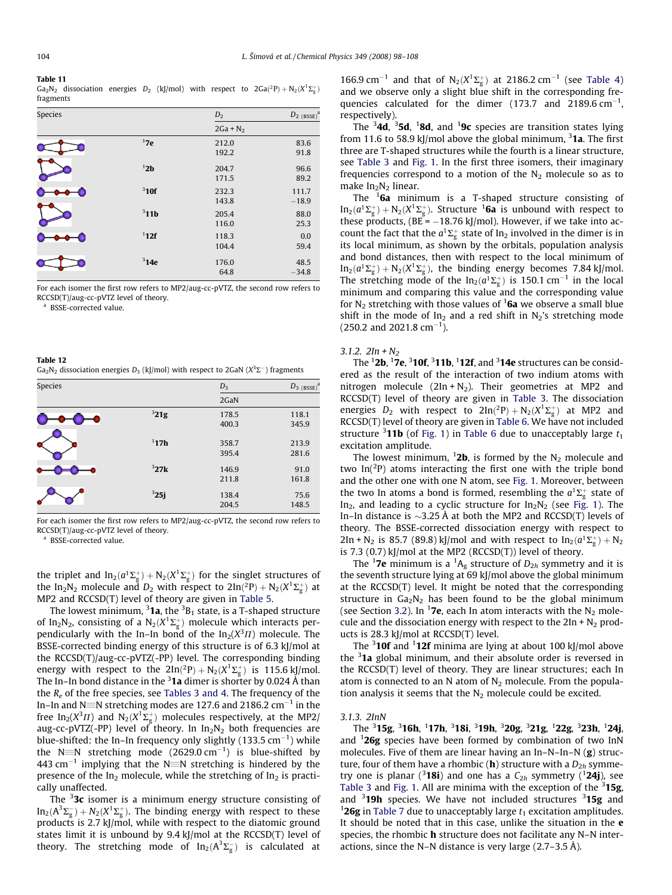#### <span id="page-6-0"></span>Table 11

Ga<sub>2</sub>N<sub>2</sub> dissociation energies D<sub>2</sub> (kJ/mol) with respect to  $2Ga(^2P) + N_2(X^1\Sigma_{\rm g}^+)$ fragments

| Species |                  | $D_2$          | $D_{2~(BSSE)}^{d}$ |
|---------|------------------|----------------|--------------------|
|         |                  | $2Ga + N_2$    |                    |
|         | 17e              | 212.0<br>192.2 | 83.6<br>91.8       |
|         | 12b              | 204.7<br>171.5 | 96.6<br>89.2       |
|         | $3$ 10f          | 232.3<br>143.8 | 111.7<br>$-18.9$   |
|         | 311 <sub>b</sub> | 205.4<br>116.0 | 88.0<br>25.3       |
|         | $1$ 12f          | 118.3<br>104.4 | 0.0<br>59.4        |
|         | $3$ 14e          | 176.0<br>64.8  | 48.5<br>$-34.8$    |

For each isomer the first row refers to MP2/aug-cc-pVTZ, the second row refers to RCCSD(T)/aug-cc-pVTZ level of theory.

<sup>a</sup> BSSE-corrected value.

Table 12 Ga<sub>2</sub>N<sub>2</sub> dissociation energies D<sub>3</sub> (kJ/mol) with respect to 2GaN (X<sup>3</sup>E<sup>-</sup>) fragments

| Species |      | $D_3$ | $D_3$ (BSSE) <sup>a</sup> |
|---------|------|-------|---------------------------|
|         |      | 2GaN  |                           |
|         | 321g | 178.5 | 118.1                     |
|         |      | 400.3 | 345.9                     |
|         | 117h | 358.7 | 213.9                     |
|         |      | 395.4 | 281.6                     |
|         | 327k | 146.9 | 91.0                      |
|         |      | 211.8 | 161.8                     |
|         | 325j | 138.4 | 75.6                      |
|         |      | 204.5 | 148.5                     |

For each isomer the first row refers to MP2/aug-cc-pVTZ, the second row refers to RCCSD(T)/aug-cc-pVTZ level of theory.

<sup>a</sup> BSSE-corrected value.

the triplet and  $In_2(a^1\Sigma_g^+) + N_2(X^1\Sigma_g^+)$  for the singlet structures of the In<sub>2</sub>N<sub>2</sub> molecule and D<sub>2</sub> with respect to 2In(<sup>2</sup>P) + N<sub>2</sub>( $X^1\Sigma_g^+$ ) at MP2 and RCCSD(T) level of theory are given in [Table 5.](#page-4-0)

The lowest minimum,  $^3$ 1a, the  $^3\mathrm{B}_1$  state, is a T-shaped structure of In<sub>2</sub>N<sub>2</sub>, consisting of a N<sub>2</sub>( $X^1\Sigma^+_g$ ) molecule which interacts perpendicularly with the In–In bond of the  $In_2(X^3\Pi)$  molecule. The BSSE-corrected binding energy of this structure is of 6.3 kJ/mol at the RCCSD(T)/aug-cc-pVTZ(-PP) level. The corresponding binding energy with respect to the  $2\ln(2P) + N_2(X^1\Sigma_g^+)$  is 115.6 kJ/mol. The In–In bond distance in the  $^3$ 1a dimer is shorter by 0.024 Å than the  $R_e$  of the free species, see [Tables 3 and 4.](#page-3-0) The frequency of the In-In and N $\equiv$ N stretching modes are 127.6 and 2186.2 cm $^{-1}$  in the free In<sub>2</sub>( $X^3\Pi$ ) and  $\mathrm{N}_2(X^1\Sigma_\mathrm{g}^+)$  molecules respectively, at the MP2/ aug-cc-pVTZ(-PP) level of theory. In  $In_2N_2$  both frequencies are blue-shifted: the In–In frequency only slightly (133.5  $\rm cm^{-1})$  while the N $\equiv$ N stretching mode (2629.0 cm $^{-1}$ ) is blue-shifted by 443 cm<sup>-1</sup> implying that the N $\equiv$ N stretching is hindered by the presence of the In<sub>2</sub> molecule, while the stretching of In<sub>2</sub> is practically unaffected.

The  $32c$  isomer is a minimum energy structure consisting of  $\text{In}_{2}(\text{A}^{3}\Sigma_{\text{g}}^{-})+N_{2}(X^{1}\Sigma_{\text{g}}^{+})$ . The binding energy with respect to these products is 2.7 kJ/mol, while with respect to the diatomic ground states limit it is unbound by 9.4 kJ/mol at the RCCSD(T) level of theory. The stretching mode of  $In_2(A^3\Sigma_g^-)$  is calculated at

166.9 cm<sup>-1</sup> and that of  $N_2(X^1\Sigma_g^+)$  at 2186.2 cm<sup>-1</sup> (see [Table 4\)](#page-4-0) and we observe only a slight blue shift in the corresponding frequencies calculated for the dimer (173.7 and 2189.6  $cm^{-1}$ , respectively).

The  $3$ 4d,  $3$ 5d,  $1$ 8d, and  $1$ 9c species are transition states lying from 11.6 to 58.9 kJ/mol above the global minimum,  $31a$ . The first three are T-shaped structures while the fourth is a linear structure, see [Table 3](#page-3-0) and [Fig. 1](#page-2-0). In the first three isomers, their imaginary frequencies correspond to a motion of the  $N_2$  molecule so as to make  $In<sub>2</sub>N<sub>2</sub>$  linear.

The <sup>1</sup>6a minimum is a T-shaped structure consisting of  $In_2(a^1\Sigma_g^+) + N_2(X^1\Sigma_g^+)$ . Structure <sup>1</sup>6a is unbound with respect to these products,  $(BE = -18.76 \text{ kJ/mol})$ . However, if we take into account the fact that the  $a^1\Sigma_g^+$  state of In<sub>2</sub> involved in the dimer is in its local minimum, as shown by the orbitals, population analysis and bond distances, then with respect to the local minimum of  $In_2(a^1\Sigma_g^+) + N_2(X^1\Sigma_g^+)$ , the binding energy becomes 7.84 kJ/mol. The stretching mode of the  $\text{In}_{2}(a^{1}\Sigma_{g}^{+})$  is 150.1 cm<sup>-1</sup> in the local minimum and comparing this value and the corresponding value for  $N_2$  stretching with those values of  $16a$  we observe a small blue shift in the mode of  $In_2$  and a red shift in N<sub>2</sub>'s stretching mode  $(250.2$  and  $2021.8$  cm<sup>-1</sup>).

### 3.1.2.  $2In + N<sub>2</sub>$

The  $12b$ ,  $17e$ ,  $310f$ ,  $311b$ ,  $112f$ , and  $314e$  structures can be considered as the result of the interaction of two indium atoms with nitrogen molecule  $(2In + N<sub>2</sub>)$ . Their geometries at MP2 and RCCSD(T) level of theory are given in [Table 3](#page-3-0). The dissociation energies  $D_2$  with respect to  $2\ln(2P) + N_2(X^1\Sigma_g^+)$  at MP2 and RCCSD(T) level of theory are given in [Table 6](#page-4-0). We have not included structure  $3$ **11b** (of [Fig. 1](#page-2-0)) in [Table 6](#page-4-0) due to unacceptably large  $t_1$ excitation amplitude.

The lowest minimum,  $12b$ , is formed by the  $N_2$  molecule and two  $In(^{2}P)$  atoms interacting the first one with the triple bond and the other one with one N atom, see [Fig. 1](#page-2-0). Moreover, between the two In atoms a bond is formed, resembling the  $a^1\Sigma_g^+$  state of In<sub>2</sub>, and leading to a cyclic structure for  $In_2N_2$  (see [Fig. 1](#page-2-0)). The In–In distance is  $\sim$ 3.25 Å at both the MP2 and RCCSD(T) levels of theory. The BSSE-corrected dissociation energy with respect to  $2In + N_2$  is 85.7 (89.8) kJ/mol and with respect to  $In_2(a^1\Sigma_g^+) + N_2$ is 7.3  $(0.7)$  kJ/mol at the MP2  $(RCCSD(T))$  level of theory.

The <sup>1</sup>7e minimum is a <sup>1</sup>A<sub>g</sub> structure of  $D_{2h}$  symmetry and it is the seventh structure lying at 69 kJ/mol above the global minimum at the RCCSD(T) level. It might be noted that the corresponding structure in  $Ga_2N_2$  has been found to be the global minimum (see Section 3.2). In <sup>1</sup>7e, each In atom interacts with the  $N_2$  molecule and the dissociation energy with respect to the  $2In + N<sub>2</sub>$  products is 28.3 kJ/mol at RCCSD(T) level.

The  $3$ **10f** and  $1$ **2f** minima are lying at about 100 kJ/mol above the <sup>3</sup>1a global minimum, and their absolute order is reversed in the RCCSD(T) level of theory. They are linear structures; each In atom is connected to an N atom of  $N_2$  molecule. From the population analysis it seems that the  $N_2$  molecule could be excited.

### 3.1.3. 2InN

The <sup>3</sup>15g, <sup>3</sup>16h, <sup>1</sup>17h, <sup>3</sup>18i, <sup>3</sup>19h, <sup>3</sup>20g, <sup>3</sup>21g, <sup>1</sup>22g, <sup>3</sup>23h, <sup>1</sup>24j, and  $126g$  species have been formed by combination of two InN molecules. Five of them are linear having an In–N–In–N (g) structure, four of them have a rhombic (**h**) structure with a  $D_{2h}$  symmetry one is planar (<sup>3</sup>18i) and one has a  $C_{2h}$  symmetry (<sup>1</sup>24j), see [Table 3](#page-3-0) and [Fig. 1](#page-2-0). All are minima with the exception of the  $315g$ and  $3$ 19h species. We have not included structures  $3$ 15g and <sup>1</sup>26g in [Table 7](#page-4-0) due to unacceptably large  $t_1$  excitation amplitudes. It should be noted that in this case, unlike the situation in the e species, the rhombic **h** structure does not facilitate any N-N interactions, since the N–N distance is very large (2.7–3.5 Å).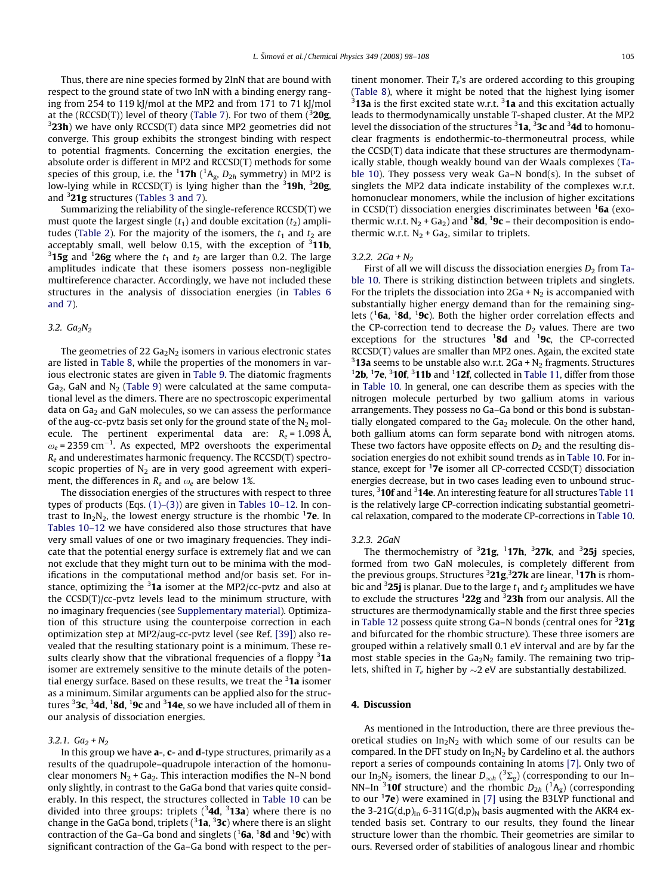Thus, there are nine species formed by 2InN that are bound with respect to the ground state of two InN with a binding energy ranging from 254 to 119 kJ/mol at the MP2 and from 171 to 71 kJ/mol at the (RCCSD(T)) level of theory ([Table 7\)](#page-4-0). For two of them ( $3$ 20g,  $3$ 23h) we have only RCCSD(T) data since MP2 geometries did not converge. This group exhibits the strongest binding with respect to potential fragments. Concerning the excitation energies, the absolute order is different in MP2 and RCCSD(T) methods for some species of this group, i.e. the  $1$ **17h** ( ${}^{1}A_{g}$ ,  $D_{2h}$  symmetry) in MP2 is low-lying while in RCCSD(T) is lying higher than the <sup>3</sup>19h, <sup>3</sup>20g, and  $3$ 21g structures [\(Tables 3 and 7\)](#page-3-0).

Summarizing the reliability of the single-reference RCCSD(T) we must quote the largest single  $(t_1)$  and double excitation  $(t_2)$  ampli-tudes [\(Table 2](#page-2-0)). For the majority of the isomers, the  $t_1$  and  $t_2$  are acceptably small, well below 0.15, with the exception of  $3$ **11b**, <sup>3</sup>15g and <sup>1</sup>26g where the  $t_1$  and  $t_2$  are larger than 0.2. The large amplitudes indicate that these isomers possess non-negligible multireference character. Accordingly, we have not included these structures in the analysis of dissociation energies (in [Tables 6](#page-4-0) [and 7\)](#page-4-0).

### 3.2.  $Ga_2N_2$

The geometries of 22  $Ga<sub>2</sub>N<sub>2</sub>$  isomers in various electronic states are listed in [Table 8](#page-5-0), while the properties of the monomers in various electronic states are given in [Table 9](#page-5-0). The diatomic fragments  $Ga<sub>2</sub>$ , GaN and N<sub>2</sub> [\(Table 9](#page-5-0)) were calculated at the same computational level as the dimers. There are no spectroscopic experimental data on  $Ga<sub>2</sub>$  and GaN molecules, so we can assess the performance of the aug-cc-pvtz basis set only for the ground state of the  $N_2$  molecule. The pertinent experimental data are:  $R_e = 1.098 \text{ Å}$ ,  $\omega_e$  = 2359 cm<sup>-1</sup>. As expected, MP2 overshoots the experimental  $R_e$  and underestimates harmonic frequency. The RCCSD(T) spectroscopic properties of  $N_2$  are in very good agreement with experiment, the differences in  $R_e$  and  $\omega_e$  are below 1%.

The dissociation energies of the structures with respect to three types of products (Eqs. [\(1\)–\(3\)](#page-2-0)) are given in [Tables 10–12](#page-5-0). In contrast to In<sub>2</sub>N<sub>2</sub>, the lowest energy structure is the rhombic <sup>1</sup>7e. In [Tables 10–12](#page-5-0) we have considered also those structures that have very small values of one or two imaginary frequencies. They indicate that the potential energy surface is extremely flat and we can not exclude that they might turn out to be minima with the modifications in the computational method and/or basis set. For instance, optimizing the <sup>3</sup>1a isomer at the MP2/cc-pvtz and also at the CCSD(T)/cc-pvtz levels lead to the minimum structure, with no imaginary frequencies (see Supplementary material). Optimization of this structure using the counterpoise correction in each optimization step at MP2/aug-cc-pvtz level (see Ref. [\[39\]](#page-10-0)) also revealed that the resulting stationary point is a minimum. These results clearly show that the vibrational frequencies of a floppy <sup>3</sup>1a isomer are extremely sensitive to the minute details of the potential energy surface. Based on these results, we treat the <sup>3</sup>1a isomer as a minimum. Similar arguments can be applied also for the structures  ${\rm ^3}$ 3c,  ${\rm ^3}$ 4d,  ${\rm ^1}$ 8d,  ${\rm ^1}$ 9c and  ${\rm ^3}$ 14e, so we have included all of them in our analysis of dissociation energies.

# 3.2.1.  $Ga_2 + N_2$

In this group we have  $a$ -,  $c$ - and  $d$ -type structures, primarily as a results of the quadrupole–quadrupole interaction of the homonuclear monomers  $N_2$  + Ga<sub>2</sub>. This interaction modifies the N–N bond only slightly, in contrast to the GaGa bond that varies quite considerably. In this respect, the structures collected in [Table 10](#page-5-0) can be divided into three groups: triplets  $(^3$ **4d**,  $^3$ **13a**) where there is no change in the GaGa bond, triplets ( $^3$ **1a**,  $^3$ **3c**) where there is an slight contraction of the Ga–Ga bond and singlets ( $^1$ 6a,  $^1$ 8d and  $^1$ 9c) with significant contraction of the Ga–Ga bond with respect to the pertinent monomer. Their  $T_e$ 's are ordered according to this grouping ([Table 8\)](#page-5-0), where it might be noted that the highest lying isomer  $3$ 13a is the first excited state w.r.t.  $3$ 1a and this excitation actually leads to thermodynamically unstable T-shaped cluster. At the MP2 level the dissociation of the structures <sup>3</sup>1a, <sup>3</sup>3c and <sup>3</sup>4d to homonuclear fragments is endothermic-to-thermoneutral process, while the CCSD(T) data indicate that these structures are thermodynamically stable, though weakly bound van der Waals complexes [\(Ta](#page-5-0)[ble 10\)](#page-5-0). They possess very weak Ga–N bond(s). In the subset of singlets the MP2 data indicate instability of the complexes w.r.t. homonuclear monomers, while the inclusion of higher excitations in CCSD(T) dissociation energies discriminates between  ${}^{1}$ 6a (exothermic w.r.t.  $N_2$  + Ga<sub>2</sub>) and <sup>1</sup>**8d**, <sup>1</sup>**9c** – their decomposition is endothermic w.r.t.  $N_2$  + Ga<sub>2</sub>, similar to triplets.

# 3.2.2.  $2Ga + N_2$

First of all we will discuss the dissociation energies  $D_2$  from [Ta](#page-5-0)[ble 10](#page-5-0). There is striking distinction between triplets and singlets. For the triplets the dissociation into  $2Ga + N<sub>2</sub>$  is accompanied with substantially higher energy demand than for the remaining singlets ( ${}^{1}$ 6a,  ${}^{1}$ 8d,  ${}^{1}$ 9c). Both the higher order correlation effects and the CP-correction tend to decrease the  $D_2$  values. There are two exceptions for the structures  $18d$  and  $19c$ , the CP-corrected RCCSD(T) values are smaller than MP2 ones. Again, the excited state <sup>3</sup>**13a** seems to be unstable also w.r.t.  $2Ga + N_2$  fragments. Structures 12b 17a <sup>3</sup>10f <sup>3</sup>11b and <sup>1</sup>12f collected in Table 11 differ from those 2b,  $17e$ ,  $310f$ ,  $311b$  and  $112f$ , collected in [Table 11](#page-6-0), differ from those in [Table 10.](#page-5-0) In general, one can describe them as species with the nitrogen molecule perturbed by two gallium atoms in various arrangements. They possess no Ga–Ga bond or this bond is substantially elongated compared to the  $Ga<sub>2</sub>$  molecule. On the other hand, both gallium atoms can form separate bond with nitrogen atoms. These two factors have opposite effects on  $D_2$  and the resulting dissociation energies do not exhibit sound trends as in [Table 10](#page-5-0). For instance, except for  $17e$  isomer all CP-corrected CCSD(T) dissociation energies decrease, but in two cases leading even to unbound struc-tures, <sup>3</sup>10f and <sup>3</sup>14e. An interesting feature for all structures [Table 11](#page-6-0) is the relatively large CP-correction indicating substantial geometrical relaxation, compared to the moderate CP-corrections in [Table 10.](#page-5-0)

### 3.2.3. 2GaN

The thermochemistry of  $3$ 21g,  $1$ 17h,  $3$ 27k, and  $3$ 25j species, formed from two GaN molecules, is completely different from the previous groups. Structures <sup>3</sup>21g,<sup>3</sup>27k are linear, <sup>1</sup>17h is rhombic and <sup>3</sup>25j is planar. Due to the large  $t_1$  and  $t_2$  amplitudes we have to exclude the structures  $122g$  and  $323h$  from our analysis. All the structures are thermodynamically stable and the first three species in [Table 12](#page-6-0) possess quite strong Ga–N bonds (central ones for <sup>3</sup>21g and bifurcated for the rhombic structure). These three isomers are grouped within a relatively small 0.1 eV interval and are by far the most stable species in the  $Ga<sub>2</sub>N<sub>2</sub>$  family. The remaining two triplets, shifted in  $T_e$  higher by  $\sim$ 2 eV are substantially destabilized.

# 4. Discussion

As mentioned in the Introduction, there are three previous theoretical studies on  $In_2N_2$  with which some of our results can be compared. In the DFT study on  $In_2N_2$  by Cardelino et al. the authors report a series of compounds containing In atoms [\[7\]](#page-10-0). Only two of our In<sub>2</sub>N<sub>2</sub> isomers, the linear  $D_{\infty h}$  (<sup>3</sup> $\Sigma_{\rm g}$ ) (corresponding to our In– NN–In <sup>3</sup>**10f** structure) and the rhombic  $D_{2h}$  (<sup>1</sup>A<sub>g</sub>) (corresponding to our  $17e$ ) were examined in [\[7\]](#page-10-0) using the B3LYP functional and the 3-21G(d,p)<sub>In</sub> 6-311G(d,p)<sub>N</sub> basis augmented with the AKR4 extended basis set. Contrary to our results, they found the linear structure lower than the rhombic. Their geometries are similar to ours. Reversed order of stabilities of analogous linear and rhombic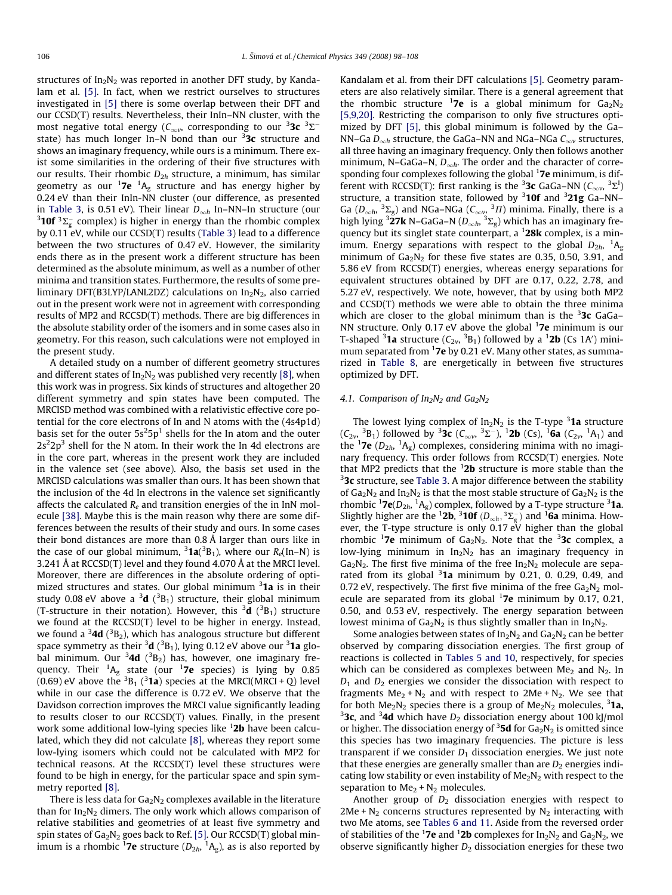structures of  $In_2N_2$  was reported in another DFT study, by Kandalam et al. [\[5\].](#page-10-0) In fact, when we restrict ourselves to structures investigated in [\[5\]](#page-10-0) there is some overlap between their DFT and our CCSD(T) results. Nevertheless, their InIn–NN cluster, with the most negative total energy ( $\mathsf{C}_{\infty \nu}$ , corresponding to our  $^3$ 3c  $^3\Sigma^$ state) has much longer In–N bond than our <sup>3</sup>3c structure and shows an imaginary frequency, while ours is a minimum. There exist some similarities in the ordering of their five structures with our results. Their rhombic  $D_{2h}$  structure, a minimum, has similar geometry as our  $^1$ **7e**  $^1$ A<sub>g</sub> structure and has energy higher by 0.24 eV than their InIn-NN cluster (our difference, as presented in [Table 3](#page-3-0), is 0.51 eV). Their linear  $D_{\infty h}$  In–NN–In structure (our **10f**  ${}^{3}\Sigma_{g}^{-}$  complex) is higher in energy than the rhombic complex by 0.11 eV, while our CCSD(T) results ([Table 3](#page-3-0)) lead to a difference between the two structures of 0.47 eV. However, the similarity ends there as in the present work a different structure has been determined as the absolute minimum, as well as a number of other minima and transition states. Furthermore, the results of some preliminary DFT(B3LYP/LANL2DZ) calculations on  $In_2N_2$ , also carried out in the present work were not in agreement with corresponding results of MP2 and RCCSD(T) methods. There are big differences in the absolute stability order of the isomers and in some cases also in geometry. For this reason, such calculations were not employed in the present study.

A detailed study on a number of different geometry structures and different states of  $In_2N_2$  was published very recently [\[8\],](#page-10-0) when this work was in progress. Six kinds of structures and altogether 20 different symmetry and spin states have been computed. The MRCISD method was combined with a relativistic effective core potential for the core electrons of In and N atoms with the (4s4p1d) basis set for the outer  $5s^2 5p^1$  shells for the In atom and the outer  $2s^22p^3$  shell for the N atom. In their work the In 4d electrons are in the core part, whereas in the present work they are included in the valence set (see above). Also, the basis set used in the MRCISD calculations was smaller than ours. It has been shown that the inclusion of the 4d In electrons in the valence set significantly affects the calculated  $R_e$  and transition energies of the in InN molecule [\[38\].](#page-10-0) Maybe this is the main reason why there are some differences between the results of their study and ours. In some cases their bond distances are more than 0.8 Å larger than ours like in the case of our global minimum,  $31a(^3B_1)$ , where our  $R_e$ (In–N) is 3.241 Å at RCCSD(T) level and they found 4.070 Å at the MRCI level. Moreover, there are differences in the absolute ordering of optimized structures and states. Our global minimum <sup>3</sup>1a is in their study 0.08 eV above a  $^3{\rm d}$  ( $^3{\rm B}_1$ ) structure, their global minimum (T-structure in their notation). However, this  $^3$ **d** ( $^3$ B<sub>1</sub>) structure we found at the RCCSD(T) level to be higher in energy. Instead, we found a  $^3$ **4d** ( $^3$ B<sub>2</sub>), which has analogous structure but different space symmetry as their  $^3{\rm d}$  ( $^3{\rm B}_1$ ), lying 0.12 eV above our  $^3{\rm 1a}$  global minimum. Our  $34d$  ( $^3B_2$ ) has, however, one imaginary frequency. Their  $^1\mathsf{A}_\mathsf{g}$  state (our  $^1$ **7e** species) is lying by 0.85 (0.69) eV above the  ${}^{3}B_{1}$  ( ${}^{3}$ **1a**) species at the MRCI(MRCI + Q) level while in our case the difference is 0.72 eV. We observe that the Davidson correction improves the MRCI value significantly leading to results closer to our RCCSD(T) values. Finally, in the present work some additional low-lying species like <sup>1</sup>**2b** have been calculated, which they did not calculate [\[8\],](#page-10-0) whereas they report some low-lying isomers which could not be calculated with MP2 for technical reasons. At the RCCSD(T) level these structures were found to be high in energy, for the particular space and spin symmetry reported [\[8\].](#page-10-0)

There is less data for  $Ga<sub>2</sub>N<sub>2</sub>$  complexes available in the literature than for  $In_2N_2$  dimers. The only work which allows comparison of relative stabilities and geometries of at least five symmetry and spin states of  $Ga<sub>2</sub>N<sub>2</sub>$  goes back to Ref. [\[5\]](#page-10-0). Our RCCSD(T) global minimum is a rhombic  $^1$ **7e** structure ( $D_{2h}$ ,  $^1\mathsf{A}_\mathsf{g}$ ), as is also reported by

Kandalam et al. from their DFT calculations [\[5\].](#page-10-0) Geometry parameters are also relatively similar. There is a general agreement that the rhombic structure <sup>1</sup>7e is a global minimum for  $Ga_2N_2$ [\[5,9,20\]](#page-10-0). Restricting the comparison to only five structures optimized by DFT [\[5\],](#page-10-0) this global minimum is followed by the Ga– NN–Ga  $D_{\infty h}$  structure, the GaGa–NN and NGa–NGa  $C_{\infty v}$  structures, all three having an imaginary frequency. Only then follows another minimum, N–GaGa–N,  $D_{\infty h}$ . The order and the character of corresponding four complexes following the global <sup>1</sup>7e minimum, is different with RCCSD(T): first ranking is the <sup>3</sup>3c GaGa–NN ( $C_{\infty\nu}$ , <sup>3</sup> $\Sigma^1$ ) structure, a transition state, followed by  $310f$  and  $321g$  Ga–NN– Ga ( $D_{\infty h}$ ,  ${}^{3}\Sigma_{g}$ ) and NGa–NGa ( $C_{\infty v}$ ,  ${}^{3} \Pi$ ) minima. Finally, there is a high lying <sup>3</sup>27k N–GaGa–N ( $D_{\infty h}$ , <sup>3</sup> $\Sigma_g$ ) which has an imaginary frequency but its singlet state counterpart, a  $128k$  complex, is a minimum. Energy separations with respect to the global  $D_{2h}$ ,  ${}^{1}A_{g}$ minimum of  $Ga_2N_2$  for these five states are 0.35, 0.50, 3.91, and 5.86 eV from RCCSD(T) energies, whereas energy separations for equivalent structures obtained by DFT are 0.17, 0.22, 2.78, and 5.27 eV, respectively. We note, however, that by using both MP2 and CCSD(T) methods we were able to obtain the three minima which are closer to the global minimum than is the  $3x$  GaGa-NN structure. Only 0.17 eV above the global  $17e$  minimum is our T-shaped <sup>3</sup>1a structure ( $C_{2v}$ , <sup>3</sup>B<sub>1</sub>) followed by a <sup>1</sup>2b (Cs 1A') minimum separated from <sup>1</sup>7e by 0.21 eV. Many other states, as summarized in [Table 8](#page-5-0), are energetically in between five structures optimized by DFT.

# 4.1. Comparison of  $In_2N_2$  and  $Ga_2N_2$

The lowest lying complex of  $In_2N_2$  is the T-type  $31a$  structure  $(C_{2v}, {}^{3}B_{1})$  followed by  ${}^{3}3c$   $(C_{\infty v}, {}^{3}\Sigma^{-})$ ,  ${}^{1}2b$   $(C_{S})$ ,  ${}^{1}6a$   $(C_{2v}, {}^{1}A_{1})$  and the <sup>1</sup>7e ( $D_{2h}$ , <sup>1</sup>A<sub>g</sub>) complexes, considering minima with no imaginary frequency. This order follows from RCCSD(T) energies. Note that MP2 predicts that the  $12b$  structure is more stable than the  $33c$  structure, see [Table 3.](#page-3-0) A major difference between the stability of  $Ga_2N_2$  and  $In_2N_2$  is that the most stable structure of  $Ga_2N_2$  is the rhombic  ${}^{1}$ **7e**( $D_{2h}$ ,  ${}^{1}A_g$ ) complex, followed by a T-type structure  ${}^{3}$ **1a**. Slightly higher are the <sup>1</sup>2b, <sup>3</sup>10f ( $D_{\infty h}$ , <sup>3</sup> $\Sigma_{g}^{-}$ ) and <sup>1</sup>6a minima. However, the T-type structure is only 0.17 eV higher than the global rhombic <sup>1</sup>7e minimum of  $Ga_2N_2$ . Note that the <sup>3</sup>3c complex, a low-lying minimum in  $In_2N_2$  has an imaginary frequency in  $Ga<sub>2</sub>N<sub>2</sub>$ . The first five minima of the free  $In<sub>2</sub>N<sub>2</sub>$  molecule are separated from its global  $3$ 1a minimum by 0.21, 0. 0.29, 0.49, and 0.72 eV, respectively. The first five minima of the free  $Ga_2N_2$  molecule are separated from its global  $17e$  minimum by 0.17, 0.21, 0.50, and 0.53 eV, respectively. The energy separation between lowest minima of  $Ga_2N_2$  is thus slightly smaller than in  $In_2N_2$ .

Some analogies between states of  $In_2N_2$  and  $Ga_2N_2$  can be better observed by comparing dissociation energies. The first group of reactions is collected in [Tables 5 and 10,](#page-4-0) respectively, for species which can be considered as complexes between  $Me<sub>2</sub>$  and  $N<sub>2</sub>$ . In  $D_1$  and  $D_2$  energies we consider the dissociation with respect to fragments  $Me<sub>2</sub> + N<sub>2</sub>$  and with respect to 2Me + N<sub>2</sub>. We see that for both  $Me<sub>2</sub>N<sub>2</sub>$  species there is a group of  $Me<sub>2</sub>N<sub>2</sub>$  molecules,  $3$ 1a, <sup>3</sup>3c, and <sup>3</sup>4d which have  $D_2$  dissociation energy about 100 kJ/mol or higher. The dissociation energy of  $35d$  for  $Ga_2N_2$  is omitted since this species has two imaginary frequencies. The picture is less transparent if we consider  $D_1$  dissociation energies. We just note that these energies are generally smaller than are  $D_2$  energies indicating low stability or even instability of  $Me<sub>2</sub>N<sub>2</sub>$  with respect to the separation to  $Me<sub>2</sub> + N<sub>2</sub>$  molecules.

Another group of  $D_2$  dissociation energies with respect to 2Me +  $N_2$  concerns structures represented by  $N_2$  interacting with two Me atoms, see [Tables 6 and 11.](#page-4-0) Aside from the reversed order of stabilities of the <sup>1</sup>7e and <sup>1</sup>2b complexes for  $In_2N_2$  and  $Ga_2N_2$ , we observe significantly higher  $D_2$  dissociation energies for these two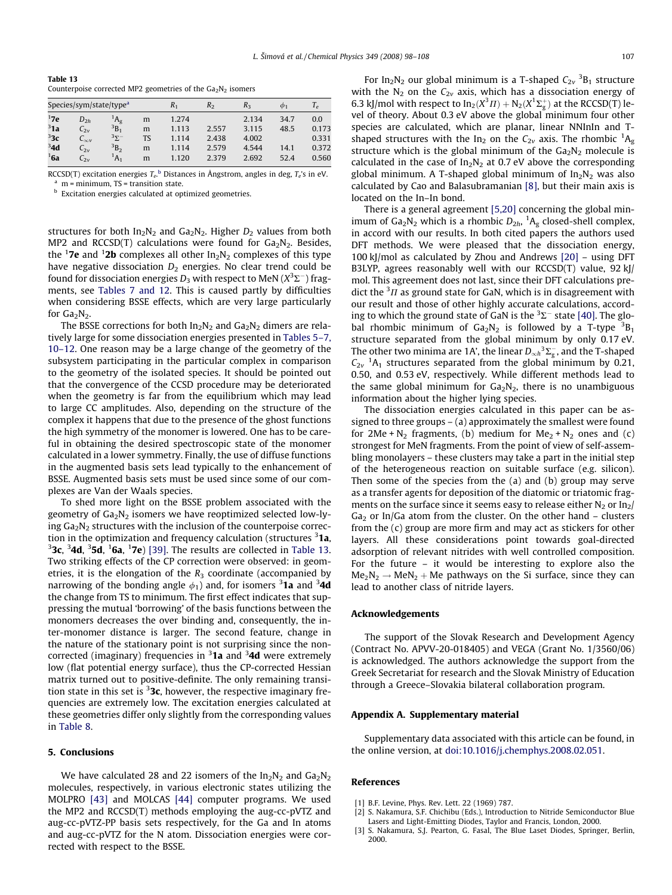<span id="page-9-0"></span>Table 13 Counterpoise corrected MP2 geometries of the  $Ga<sub>2</sub>N<sub>2</sub>$  isomers

|         | Species/sym/state/type <sup>a</sup> |                          |    |       | R2    | $R_{3}$ | $\varphi_1$ | $T_e$ |
|---------|-------------------------------------|--------------------------|----|-------|-------|---------|-------------|-------|
| 17e     | $D_{2h}$                            | $A_g$                    | m  | 1.274 |       | 2.134   | 34.7        | 0.0   |
| 31a     | $C_{2v}$                            | $B_1$                    | m  | 1.113 | 2.557 | 3.115   | 48.5        | 0.173 |
| 33c     | $C_{\infty}$                        | $\overline{3\Sigma^{-}}$ | TS | 1.114 | 2.438 | 4.002   |             | 0.331 |
| 34d     | $C_{2v}$                            | B <sub>2</sub>           | m  | 1.114 | 2.579 | 4.544   | 14.1        | 0.372 |
| $^1$ 6a | $C_{2v}$                            | $^1A_1$                  | m  | 1.120 | 2.379 | 2.692   | 52.4        | 0.560 |

RCCSD(T) excitation energies  $T_e$ <sup>b</sup> Distances in Ångstrom, angles in deg,  $T_e$ 's in eV.<br><sup>a</sup> m = minimum, TS = transition state.

**b** Excitation energies calculated at optimized geometries.

structures for both  $In_2N_2$  and  $Ga_2N_2$ . Higher  $D_2$  values from both MP2 and RCCSD(T) calculations were found for  $Ga<sub>2</sub>N<sub>2</sub>$ . Besides, the  $^1$ **7e** and  $^1$ **2b** complexes all other In<sub>2</sub>N<sub>2</sub> complexes of this type have negative dissociation  $D_2$  energies. No clear trend could be found for dissociation energies  $D_3$  with respect to MeN (X $^3\Sigma^-$ ) fragments, see [Tables 7 and 12.](#page-4-0) This is caused partly by difficulties when considering BSSE effects, which are very large particularly for  $Ga_2N_2$ .

The BSSE corrections for both  $In_2N_2$  and  $Ga_2N_2$  dimers are relatively large for some dissociation energies presented in [Tables 5–7,](#page-4-0) [10–12](#page-4-0). One reason may be a large change of the geometry of the subsystem participating in the particular complex in comparison to the geometry of the isolated species. It should be pointed out that the convergence of the CCSD procedure may be deteriorated when the geometry is far from the equilibrium which may lead to large CC amplitudes. Also, depending on the structure of the complex it happens that due to the presence of the ghost functions the high symmetry of the monomer is lowered. One has to be careful in obtaining the desired spectroscopic state of the monomer calculated in a lower symmetry. Finally, the use of diffuse functions in the augmented basis sets lead typically to the enhancement of BSSE. Augmented basis sets must be used since some of our complexes are Van der Waals species.

To shed more light on the BSSE problem associated with the geometry of  $Ga<sub>2</sub>N<sub>2</sub>$  isomers we have reoptimized selected low-lying  $Ga<sub>2</sub>N<sub>2</sub>$  structures with the inclusion of the counterpoise correction in the optimization and frequency calculation (structures <sup>3</sup>1a, <sup>3</sup>3c, <sup>3</sup>4d, <sup>3</sup>5d, <sup>1</sup>6a, <sup>1</sup>7e) [\[39\]](#page-10-0). The results are collected in Table 13. Two striking effects of the CP correction were observed: in geometries, it is the elongation of the  $R_3$  coordinate (accompanied by narrowing of the bonding angle  $\phi_1$ ) and, for isomers  $^3$ 1a and  $^3$ 4d the change from TS to minimum. The first effect indicates that suppressing the mutual 'borrowing' of the basis functions between the monomers decreases the over binding and, consequently, the inter-monomer distance is larger. The second feature, change in the nature of the stationary point is not surprising since the noncorrected (imaginary) frequencies in <sup>3</sup>1a and <sup>3</sup>4d were extremely low (flat potential energy surface), thus the CP-corrected Hessian matrix turned out to positive-definite. The only remaining transition state in this set is  $32c$ , however, the respective imaginary frequencies are extremely low. The excitation energies calculated at these geometries differ only slightly from the corresponding values in [Table 8](#page-5-0).

## 5. Conclusions

We have calculated 28 and 22 isomers of the  $In_2N_2$  and  $Ga_2N_2$ molecules, respectively, in various electronic states utilizing the MOLPRO [\[43\]](#page-10-0) and MOLCAS [\[44\]](#page-10-0) computer programs. We used the MP2 and RCCSD(T) methods employing the aug-cc-pVTZ and aug-cc-pVTZ-PP basis sets respectively, for the Ga and In atoms and aug-cc-pVTZ for the N atom. Dissociation energies were corrected with respect to the BSSE.

For In<sub>2</sub>N<sub>2</sub> our global minimum is a T-shaped  $C_{2v}$ <sup>3</sup>B<sub>1</sub> structure with the  $N_2$  on the  $C_{2v}$  axis, which has a dissociation energy of 6.3 kJ/mol with respect to  $In_2(X^3\Pi) + N_2(X^1\Sigma_{\rm g}^+)$  at the RCCSD(T) level of theory. About 0.3 eV above the global minimum four other species are calculated, which are planar, linear NNInIn and Tshaped structures with the In<sub>2</sub> on the  $C_{2v}$  axis. The rhombic <sup>1</sup>A<sub>g</sub> structure which is the global minimum of the  $Ga_2N_2$  molecule is calculated in the case of  $In_2N_2$  at 0.7 eV above the corresponding global minimum. A T-shaped global minimum of  $In<sub>2</sub>N<sub>2</sub>$  was also calculated by Cao and Balasubramanian [\[8\]](#page-10-0), but their main axis is located on the In–In bond.

There is a general agreement [\[5,20\]](#page-10-0) concerning the global minimum of  $Ga_2N_2$  which is a rhombic  $D_{2h}$ ,  ${}^1A_g$  closed-shell complex, in accord with our results. In both cited papers the authors used DFT methods. We were pleased that the dissociation energy, 100 kJ/mol as calculated by Zhou and Andrews [\[20\]](#page-10-0) – using DFT B3LYP, agrees reasonably well with our RCCSD(T) value, 92 kJ/ mol. This agreement does not last, since their DFT calculations predict the  ${}^{3}$ *H* as ground state for GaN, which is in disagreement with our result and those of other highly accurate calculations, according to which the ground state of GaN is the  ${}^{3}\Sigma^{-}$  state [\[40\].](#page-10-0) The global rhombic minimum of  $Ga_2N_2$  is followed by a T-type  ${}^{3}B_1$ structure separated from the global minimum by only 0.17 eV. The other two minima are 1A', the linear  $D_{\infty h}^{-3}\Sigma_{g}^{-}$ , and the T-shaped  $C_{2v}$ <sup>1</sup>A<sub>1</sub> structures separated from the global minimum by 0.21, 0.50, and 0.53 eV, respectively. While different methods lead to the same global minimum for  $Ga<sub>2</sub>N<sub>2</sub>$ , there is no unambiguous information about the higher lying species.

The dissociation energies calculated in this paper can be assigned to three groups – (a) approximately the smallest were found for  $2Me + N_2$  fragments, (b) medium for  $Me_2 + N_2$  ones and (c) strongest for MeN fragments. From the point of view of self-assembling monolayers – these clusters may take a part in the initial step of the heterogeneous reaction on suitable surface (e.g. silicon). Then some of the species from the (a) and (b) group may serve as a transfer agents for deposition of the diatomic or triatomic fragments on the surface since it seems easy to release either  $N_2$  or  $In_2/$  $Ga<sub>2</sub>$  or In/Ga atom from the cluster. On the other hand – clusters from the (c) group are more firm and may act as stickers for other layers. All these considerations point towards goal-directed adsorption of relevant nitrides with well controlled composition. For the future – it would be interesting to explore also the  $Me<sub>2</sub>N<sub>2</sub> \rightarrow MeN<sub>2</sub> + Me$  pathways on the Si surface, since they can lead to another class of nitride layers.

## Acknowledgements

The support of the Slovak Research and Development Agency (Contract No. APVV-20-018405) and VEGA (Grant No. 1/3560/06) is acknowledged. The authors acknowledge the support from the Greek Secretariat for research and the Slovak Ministry of Education through a Greece–Slovakia bilateral collaboration program.

## Appendix A. Supplementary material

Supplementary data associated with this article can be found, in the online version, at [doi:10.1016/j.chemphys.2008.02.051](http://dx.doi.org/10.1016/j.chemphys.2008.02.051).

### References

- [1] B.F. Levine, Phys. Rev. Lett. 22 (1969) 787.
- S. Nakamura, S.F. Chichibu (Eds.), Introduction to Nitride Semiconductor Blue Lasers and Light-Emitting Diodes, Taylor and Francis, London, 2000.
- [3] S. Nakamura, S.J. Pearton, G. Fasal, The Blue Laset Diodes, Springer, Berlin, 2000.